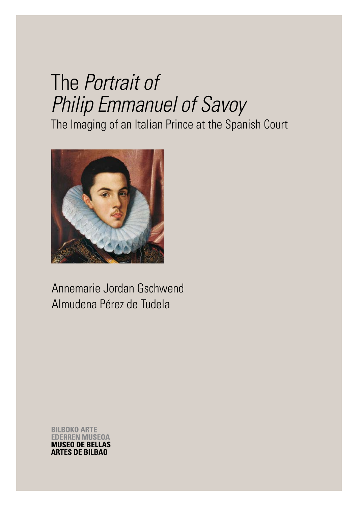# The *Portrait of Philip Emmanuel of Savoy*

The Imaging of an Italian Prince at the Spanish Court



Annemarie Jordan Gschwend Almudena Pérez de Tudela

**BILBOKO ARTE ERREN MUSEOA MUSEO DE BELLAS ARTES DE BILBAO**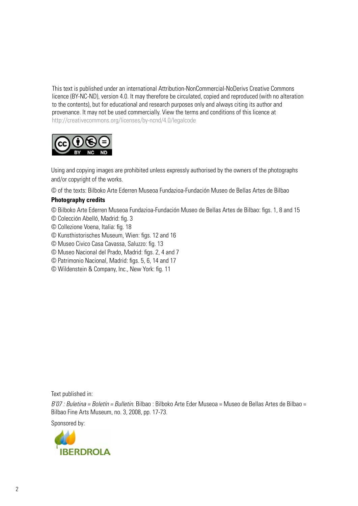This text is published under an international Attribution-NonCommercial-NoDerivs Creative Commons licence (BY-NC-ND), version 4.0. It may therefore be circulated, copied and reproduced (with no alteration to the contents), but for educational and research purposes only and always citing its author and provenance. It may not be used commercially. View the terms and conditions of this licence at http://creativecommons.org/licenses/by-ncnd/4.0/legalcode



Using and copying images are prohibited unless expressly authorised by the owners of the photographs and/or copyright of the works.

© of the texts: Bilboko Arte Ederren Museoa Fundazioa-Fundación Museo de Bellas Artes de Bilbao

# **Photography credits**

- © Bilboko Arte Ederren Museoa Fundazioa-Fundación Museo de Bellas Artes de Bilbao: figs. 1, 8 and 15
- © Colección Abelló, Madrid: fig. 3
- © Collezione Voena, Italia: fig. 18
- © Kunsthistorisches Museum, Wien: figs. 12 and 16
- © Museo Civico Casa Cavassa, Saluzzo: fig. 13
- © Museo Nacional del Prado, Madrid: figs. 2, 4 and 7
- © Patrimonio Nacional, Madrid: figs. 5, 6, 14 and 17
- © Wildenstein & Company, Inc., New York: fig. 11

Text published in:

*B'07 : Buletina = Boletín = Bulletin.* Bilbao : Bilboko Arte Eder Museoa = Museo de Bellas Artes de Bilbao = Bilbao Fine Arts Museum, no. 3, 2008, pp. 17-73.

Sponsored by:

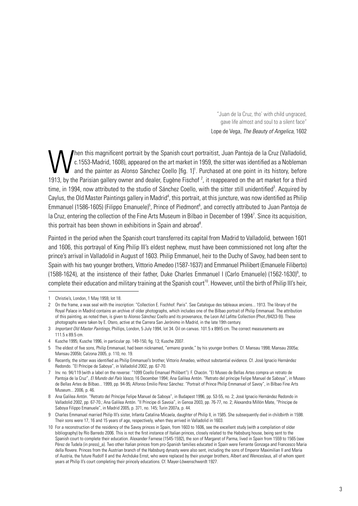"Juan de la Cruz, tho' with child ungraced, gave life almost and soul to a silent face" Lope de Vega, *The Beauty of Angelica,* 1602

When this magnificent portrait by the Spanish court portraitist, Juan Pantoja de la Cruz (Valladolid, c. 1553-Madrid, 1608), appeared on the art market in 1959, the sitter was identified as a Nobleman and the painter as Al c.1553-Madrid, 1608), appeared on the art market in 1959, the sitter was identified as a Nobleman and the painter as Alonso Sánchez Coello [fig. 1]<sup>1</sup>. Purchased at one point in its history, before 1913, by the Parisian gallery owner and dealer, Eugène Fischof<sup>2</sup>, it reappeared on the art market for a third time, in 1994, now attributed to the studio of Sánchez Coello, with the sitter still unidentified<sup>3</sup>. Acquired by Caylus, the Old Master Paintings gallery in Madrid<sup>4</sup>, this portrait, at this juncture, was now identified as Philip Emmanuel (1586-1605) (Filippo Emanuele)<sup>5</sup>, Prince of Piedmont<sup>6</sup>, and correctly attributed to Juan Pantoja de la Cruz, entering the collection of the Fine Arts Museum in Bilbao in December of 1994<sup>7</sup>. Since its acquisition, this portrait has been shown in exhibitions in Spain and abroad<sup>8</sup>.

Painted in the period when the Spanish court transferred its capital from Madrid to Valladolid, between 1601 and 1606, this portrayal of King Philip III's eldest nephew, must have been commissioned not long after the prince's arrival in Valladolid in August of 1603. Philip Emmanuel, heir to the Duchy of Savoy, had been sent to Spain with his two younger brothers, Vittorio Amedeo (1587-1637) and Emmanuel Philibert (Emanuele Filiberto) (1588-1624), at the insistence of their father, Duke Charles Emmanuel I (Carlo Emanuele) (1562-1630)<sup>9</sup>, to complete their education and military training at the Spanish court<sup>10</sup>. However, until the birth of Philip III's heir,

9 Charles Emmanuel married Philip III's sister, Infanta Catalina Micaela, daughter of Philip II, in 1585. She subsequently died in childbirth in 1598. Their sons were 17, 16 and 15 years of age, respectively, when they arrived in Valladolid in 1603.

<sup>1</sup> Christie's, London, 1 May 1959, lot 18.

<sup>2</sup> On the frame, a wax seal with the inscription: "Collection E. Fischhof. Paris". See Catalogue des tableaux anciens... 1913. The library of the Royal Palace in Madrid contains an archive of older photographs, which includes one of the Bilbao portrait of Philip Emmanuel. The attribution of this painting, as noted then, is given to Alonso Sánchez Coello and its provenance, the Leon Ad Lafitte Collection (Phot./842(3-9)). These photographs were taken by E. Otero, active at the Carrera San Jerónimo in Madrid, in the late 19th century.

<sup>3</sup> *Important Old Master Paintings*, Phillips, London, 5 July 1994, lot 34. Oil on canvas. 101.5 x 89ñ5 cm. The correct measurements are 111.5 x 89.5 cm.

<sup>4</sup> Kusche 1995; Kusche 1996, in particular pp. 149-150, fig. 13; Kusche 2007.

<sup>5</sup> The eldest of five sons, Philip Emmanuel, had been nicknamed, "ermano grande," by his younger brothers. Cf. Mansau 1998; Mansau 2005a; Mansau 2005b; Calzona 2005, p. 110, no. 19.

<sup>6</sup> Recently, the sitter was identified as Philip Emmanuel's brother, Vittorio Amadeo, without substantial evidence. Cf. José Ignacio Hernández Redondo. "El Príncipe de Saboya", in Valladolid 2002, pp. 67-70.

<sup>7</sup> Inv. no. 94/119 (with a label on the reverse: "1099 Coello Emanuel Philibert"). F. Chacón. "El Museo de Bellas Artes compra un retrato de Pantoja de la Cruz", *El Mundo del País Vasco,* 16 December 1994; Ana Galilea Antón. "Retrato del príncipe Felipe Manuel de Saboya", in Museo de Bellas Artes de Bilbao... 1999, pp. 94-95; Alfonso Emilio Pérez Sánchez. "Portrait of Prince Philip Emmanuel of Savoy", in Bilbao Fine Arts Museum... 2006, p. 46.

<sup>8</sup> Ana Galilea Antón. "Retrato del Príncipe Felipe Manuel de Saboya", in Budapest 1996, pp. 53-55, no. 2; José Ignacio Hernández Redondo in Valladolid 2002, pp. 67-70.; Ana Galilea Antón. "Il Principe di Savoia", in Genoa 2003, pp. 76-77, no. 2; Alexandra Millón Mate, "Príncipe de Saboya Filippo Emanuele", in Madrid 2005, p. 371, no. 145; Turin 2007a, p. 44.

<sup>10</sup> For a reconstruction of the residency of the Savoy princes in Spain, from 1603 to 1606, see the excellent study (with a compilation of older bibliography) by Río Barredo 2006. This is not the first instance of Italian princes, closely related to the Habsburg house, being sent to the Spanish court to complete their education. Alexander Farnese (1545-1592), the son of Margaret of Parma, lived in Spain from 1559 to 1565 (see Pérez de Tudela (in press)\_a). Two other Italian princes from pro-Spanish families educated in Spain were Ferrante Gonzaga and Francesco Maria della Rovere. Princes from the Austrian branch of the Habsburg dynasty were also sent, including the sons of Emperor Maximilian II and Maria of Austria, the future Rudolf II and the Archduke Ernst, who were replaced by their younger brothers, Albert and Wenceslaus, all of whom spent years at Philip II's court completing their princely educations. Cf. Mayer-Löwenschwerdt 1927.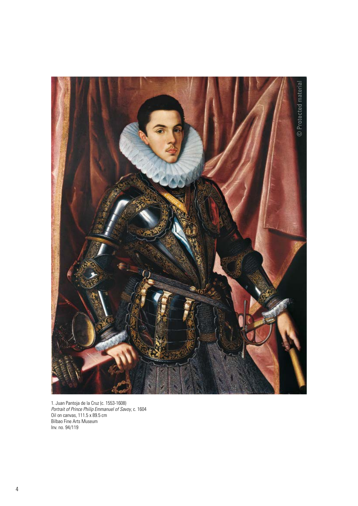

1. Juan Pantoja de la Cruz (c. 1553-1608) *Portrait of Prince Philip Emmanuel of Savoy*, c. 1604 Oil on canvas, 111.5 x 89.5 cm Bilbao Fine Arts Museum Inv. no. 94/119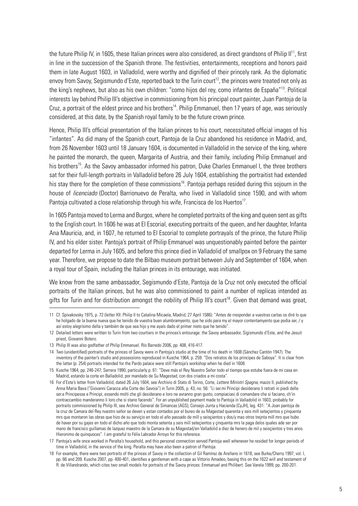the future Philip IV, in 1605, these Italian princes were also considered, as direct grandsons of Philip II<sup>11</sup>, first in line in the succession of the Spanish throne. The festivities, entertainments, receptions and honors paid them in late August 1603, in Valladolid, were worthy and dignified of their princely rank. As the diplomatic envoy from Savoy, Segismundo d'Este, reported back to the Turin court<sup>12</sup>, the princes were treated not only as the king's nephews, but also as his own children: "como hijos del rey, como infantes de España"13. Political interests lay behind Philip III's objective in commissioning from his principal court painter, Juan Pantoja de la Cruz, a portrait of the eldest prince and his brothers<sup>14</sup>. Philip Emmanuel, then 17 years of age, was seriously considered, at this date, by the Spanish royal family to be the future crown prince.

Hence, Philip III's official presentation of the Italian princes to his court, necessitated official images of his "infantes". As did many of the Spanish court, Pantoja de la Cruz abandoned his residence in Madrid, and, from 26 November 1603 until 18 January 1604, is documented in Valladolid in the service of the king, where he painted the monarch, the queen, Margarita of Austria, and their family, including Philip Emmanuel and his brothers<sup>15</sup>. As the Savoy ambassador informed his patron, Duke Charles Emmanuel I, the three brothers sat for their full-length portraits in Valladolid before 26 July 1604, establishing the portraitist had extended his stay there for the completion of these commissions<sup>16</sup>. Pantoja perhaps resided during this sojourn in the house of *licenciado* (Doctor) Barrionuevo de Peralta, who lived in Valladolid since 1590, and with whom Pantoja cultivated a close relationship through his wife, Francisca de los Huertos<sup>17</sup>.

In 1605 Pantoja moved to Lerma and Burgos, where he completed portraits of the king and queen sent as gifts to the English court. In 1606 he was at El Escorial, executing portraits of the queen, and her daughter, Infanta Ana Mauricia, and, in 1607, he returned to El Escorial to complete portrayals of the prince, the future Philip IV, and his elder sister. Pantoja's portrait of Philip Emmanuel was unquestionably painted before the painter departed for Lerma in July 1605, and before this prince died in Valladolid of smallpox on 9 February the same year. Therefore, we propose to date the Bilbao museum portrait between July and September of 1604, when a royal tour of Spain, including the Italian princes in its entourage, was initiated.

We know from the same ambassador, Segismundo d'Este, Pantoja de la Cruz not only executed the official portraits of the Italian princes, but he was also commissioned to paint a number of replicas intended as gifts for Turin and for distribution amongst the nobility of Philip III's court<sup>18</sup>. Given that demand was great,

<sup>11</sup> Cf. Spivakovsky 1975, p. 72 (letter XII: Philip II to Catalina Micaela, Madrid, 27 April 1586): "Antes de rresponder a vuestras cartas os diré lo que he holgado de la buena nueva que he tenido de vuestra buen alumbramyento, que he sido para my el mayor contentamyento que podia ser, / y así estoy alegrísimo della y también de que sea hijo y me ayaís dado el primer nieto que he tenido".

<sup>12</sup> Detailed letters were written to Turin from two courtiers in the princes's entourage: the Savoy ambassador, Sigismundo d'Este, and the Jesuit priest, Giovanni Botero.

<sup>13</sup> Philip III was also godfather of Philip Emmanuel. Río Barredo 2006, pp. 408, 416-417.

<sup>14</sup> Two (unidentified) portraits of the princes of Savoy were in Pantoja's studio at the time of his death in 1608 (Sánchez Cantón 1947). The inventory of the painter's studio and possessions reproduced in Kusche 1964, p. 259: "Dos retratos de los principes de Saboya". It is clear from the latter (p. 254) portraits intended for the Pardo palace were still Pantoja's workshop when he died in 1608.

<sup>15</sup> Kusche 1964, pp. 246-247; Serrera 1990, particularly p. 61: "Deve más el Rey Nuestro Señor todo el tiempo que estube fuera de mi casa en Madrid, estando la corte en Balladolid, por mandado de Su Magestad, con dos criados a mi costa".

<sup>16</sup> For d'Este's letter from Valladolid, dated 26 July 1604, see Archivio di Stato di Torino, Corte, *Lettere Ministri Spagna*, mazzo II, published by Anna Maria Bava ("Giovanni Caracca alla Corte dei Savoia") in Turin 2005, p. 43, no. 56: "Li ser.mi Principi desiderano li retrati in piedi delle ser.e Principesse e Principi, essendo molti che gli desiderano e loro ne avranno gran gusto, compiaciasi di comandare che si faciano, ch'in contraccambio manderanno li loro che si stano facendo". For an unpublished payment made to Pantoja in Valladolid in 1603, probably for portraits commissioned by Philip III, see Archivo General de Simancas (AGS), Consejo Junta y Hacienda (CyJH), leg. 431: "A Joan pantoja de la cruz de Camara del Rey nuestro señor se deven y estan contados por el bureo de su Magestad quarenta y seis mill setecientos y cinquenta mrs que montaron las obras que hizo de su serviçio en todo el año passado de mill y seisçientos y dos/y mas otros trejnta mill mrs que hubo de haver por su gajes en todo el dicho año que todo monta setenta y seis mill seteçientos y çinquenta mrs la paga delos quales ade ser por mano de francisco guillamas de lazquez maestro de la Camara de su Magestad/en Valladolid a diez de henero de mil y seisçientos y tres anos. Hieronimo de quinquoces". I am grateful to Félix Labrador Arroyo for this reference.

<sup>17</sup> Pantoja's wife once worked in Peralta's household, and this personal connection served Pantoja well whenever he resided for longer periods of time in Valladolid, in the service of the king. Peralta may have also been a patron of Pantoja.

<sup>18</sup> For example, there were two portraits of the princes of Savoy in the collection of Gil Ramírez de Arellano in 1618, see Burke/Cherry 1997, vol. I, pp. 66 and 209. Kusche 2007, pp. 400-401, identifies a gentleman with a cape as Vittorio Amadeo, basing this on the 1622 will and testament of R. de Villandrando, which cites two small models for portraits of the Savoy princes: Emmanuel and Philibert. See Varela 1999, pp. 200-201.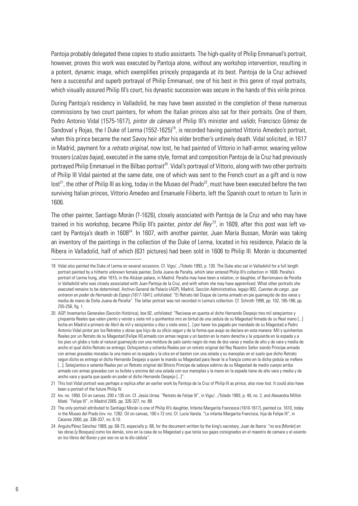Pantoja probably delegated these copies to studio assistants. The high-quality of Philip Emmanuel's portrait, however, proves this work was executed by Pantoja alone, without any workshop intervention, resulting in a potent, dynamic image, which exemplifies princely propaganda at its best. Pantoja de la Cruz achieved here a successful and superb portrayal of Philip Emmanuel, one of his best in this genre of royal portraits, which visually assured Philip III's court, his dynastic succession was secure in the hands of this virile prince.

During Pantoja's residency in Valladolid, he may have been assisted in the completion of these numerous commissions by two court painters, for whom the Italian princes also sat for their portraits. One of them, Pedro Antonio Vidal (1575-1617), *pintor de cámara* of Philip III's minister and *valido*, Francisco Gómez de Sandoval y Rojas, the I Duke of Lerma (1552-1625)<sup>19</sup>, is recorded having painted Vittorio Amedeo's portrait, when this prince became the next Savoy heir after his elder brother's untimely death. Vidal solicited, in 1617 in Madrid, payment for a *retrato original*, now lost, he had painted of Vittorio in half-armor, wearing yellow trousers (*calzas bajas*), executed in the same style, format and composition Pantoja de la Cruz had previously portrayed Philip Emmanuel in the Bilbao portrait<sup>20</sup>. Vidal's portrayal of Vittorio, along with two other portraits of Philip III Vidal painted at the same date, one of which was sent to the French court as a gift and is now  $lost<sup>21</sup>$ , the other of Philip III as king, today in the Museo del Prado<sup>22</sup>, must have been executed before the two surviving Italian princes, Vittorio Amedeo and Emanuele Filiberto, left the Spanish court to return to Turin in 1606.

The other painter, Santiago Morán (?-1626), closely associated with Pantoja de la Cruz and who may have trained in his workshop, became Philip III's painter, *pintor del Rev<sup>23</sup>*, in 1609, after this post was left vacant by Pantoja's death in 1608<sup>24</sup>. In 1607, with another painter, Juan María Bussan, Morán was taking an inventory of the paintings in the collection of the Duke of Lerma, located in his residence, Palacio de la Ribera in Valladolid, half of which (631 pictures) had been sold in 1606 to Philip III. Morán is documented

<sup>19</sup> Vidal also painted the Duke of Lerma on several occasions. Cf. Vigo/.../Toledo 1993, p. 130. The Duke also sat in Valladolid for a full length portrait painted by a hitherto unknown female painter, Doña Juana de Peralta, which later entered Philip III's collection in 1606. Peralta's portrait of Lerma hung, after 1615, in the Alcázar palace, in Madrid. Peralta may have been a relation, or daughter, of Barrionuevo de Peralta in Valladolid who was closely associated with Juan Pantoja de la Cruz, and with whom she may have apprenticed. What other portraits she executed remains to be determined. Archivo General de Palacio (AGP), Madrid, Sección Administrativa, legajo 902, *Cuentas de cargo...que entraron en poder de Hernando de Espejo (1617-1641)*, unfoliated: "El Retrato del Duque de Lerma armado en pie guarneçido de dos varas y media de mano de Doña Juana de Peralta". The latter portrait was not recorded in Lerma's collection. Cf. Schroth 1999, pp. 102, 185-186; pp. 255-256, fig. 1.

<sup>20</sup> AGP, Inventarios Generales (Sección Histórica), box 82, unfoliated: "Recivese en quenta al dicho Hernando Despejo tres mil seteçientos y çinquenta Reales que valen çiento y veinte y siete mil y quinhentos mrs en birtud de una zedula de su Magestad firmada de su Real mano [...] fecha en Madrid a primero de Abril de mil y seisçientos y diez y siete anos [...] por haver los pagado por mandado de su Magestad a Pedro Antonio Vidal pintor por los Retratos y obras que hiço de su oficio segun y de la forma que avajo se declara en esta manera: Mil y quinhentos Reales por un Retrato de su Magestad [Felipe III] armado con armas negras y un baston en la mano derecha y la yzquierda en la espada y a los pies un globo y todo al natural guarneçido con una moldura de palo santo negro de mas de dos varas y media de alto y de vara y media de ancho el qual dicho Retrato se entrego; Ochoçientos y ochenta Reales por un retrato original del Rey Nuestro Señor siendo Principe armado con armas gravadas moradas la una mano en la espada y la otra en el baston con una zelada y su manoplas en el suelo que dicho Retrato segun dicho es entrego el dicho Hernando Despejo a quien le mando su Magestad para llevar le a françia como en la dicha çedula se rrefiere [...]; Seteçientos e setenta Reales por un Retrato original del Bitorio Principe de saboya sobrino de su Magestad de medio cuerpo arriba armado con armas gravadas con su bufete y encima del una zelada con sus manoplas y la mano en la espada tiene de alto vara y media y de ancho vara y quarta que quedo en poder el dicho Hernando Despejo [...]".

<sup>21</sup> This lost Vidal portrait was perhaps a replica after an earlier work by Pantoja de la Cruz of Philip III as prince, also now lost. It could also have been a portrait of the future Philip IV.

<sup>22</sup> Inv. no. 1950. Oil on canvas. 200 x 135 cm. Cf. Jesús Urrea. "Retrato de Felipe III", in Vigo/.../Toledo 1993, p. 40, no. 2, and Alexandra Millón Maté. "Felipe III", in Madrid 2005, pp. 326-327, no. 89.

<sup>23</sup> The only portrait attributed to Santiago Morán is one of Philip III's daughter, Infanta Margarita Francesca (1610-1617), painted ca. 1610, today in the Museo del Prado (inv. no. 1282. Oil on canvas, 100 x 72 cm). Cf. Lucía Varela. "La infanta Margarita Francisca, hija de Felipe III", in Cáceres 2000, pp. 336-337, no. 6.10.

<sup>24</sup> Angulo/Pérez Sánchez 1969, pp. 68-73, especially p. 68, for the document written by the king's secretary, Juan de Ibarra: "no era [Morán] en las obras [y Bosques] como los demás, sino en la casa de su Magestad y que tenía sus gajes consignados en el maestro de camara y el asiento en los libros del Bureo y por eso no se le dío cédula".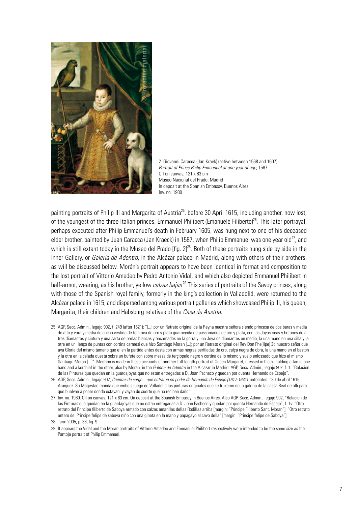

2. Giovanni Caracca (Jan Kraek) (active between 1568 and 1607) *Portrait of Prince Philip Emmanuel at one year of age*, 1587 Oil on canvas, 121 x 83 cm Museo Nacional del Prado, Madrid In deposit at the Spanish Embassy, Buenos Aires Inv. no. 1980

painting portraits of Philip III and Margarita of Austria<sup>25</sup>, before 30 April 1615, including another, now lost, of the youngest of the three Italian princes, Emmanuel Philibert (Emanuele Filiberto)<sup>26</sup>. This later portrayal, perhaps executed after Philip Emmanuel's death in February 1605, was hung next to one of his deceased elder brother, painted by Juan Caracca (Jan Kraeck) in 1587, when Philip Emmanuel was one year old<sup>27</sup>, and which is still extant today in the Museo del Prado [fig. 2]<sup>28</sup>. Both of these portraits hung side by side in the Inner Gallery, or *Galeria de Adentro*, in the Alcázar palace in Madrid, along with others of their brothers, as will be discussed below. Morán's portrait appears to have been identical in format and composition to the lost portrait of Vittorio Amedeo by Pedro Antonio Vidal, and which also depicted Emmanuel Philibert in half-armor, wearing, as his brother, yellow *calzas bajas* 29.This series of portraits of the Savoy princes, along with those of the Spanish royal family, formerly in the king's collection in Valladolid, were returned to the Alcázar palace in 1615, and dispersed among various portrait galleries which showcased Philip III, his queen, Margarita, their children and Habsburg relatives of the *Casa de Austria*.

<sup>25</sup> AGP, Secc. Admin., legajo 902, f. 249 (after 1621): "[...] por un Retrato original de la Reyna nuestra señora siendo princesa de dos baras y media de alto y vara y media de ancho vestida de tela rica de oro y plata guarneçida de passamanos de oro y plata, con las Joyas ricas y botones de a tres diamantes y cintura y una sarta de perlas blancas y encarnados en la gorra y una Joya de diamantes en medio, la una mano en una silla y la otra en un lienço de puntas con cortina carmesi que hizo Santiago Moran [...]; por un Retrato original del Rey Don Phe[lipe] 3o nuestro señor que aya Gloria del mismo tamano que el en la partida antes desta con armas negras perfiladas de oro, calça negra de obra, la una mano en el baston y la otra en la celada questa sobre un bufete con sobre messa de terçiopelo negro y cortina de lo mismo y suelo enlossado que hizo el mismo Santiago Moran [...]". Mention is made in these accounts of another full-length portrait of Queen Margaret, dressed in black, holding a fan in one hand and a kerchief in the other, also by Morán, in the *Galería de Adentro* in the Alcázar in Madrid. AGP, Secc. Admin., legajo 902, f. 1: "Relacion de las Pinturas que quedan en la guardajoyas que no estan entregadas a D. Joan Pacheco y quedan por quenta Hernando de Espejo".

<sup>26</sup> AGP, Secc. Admin., legajo 902, *Cuentas de cargo... que entraron en poder de Hernando de Espejo (1617-1641)*, unfoliated: "30 de abril 1615, Aranjuez. Su Magestad manda que embeis luego de Valladolid las pinturas originales que se truxeron de la galeria de la cassa Real de alli para que buelvan a poner donde estavan, y vayan de suerte que no reciban daño".

<sup>27</sup> Inv. no. 1980. Oil on canvas. 121 x 83 cm. On deposit at the Spanish Embassy in Buenos Aires. Also AGP, Secc. Admin., legajo 902, "Relacion de las Pinturas que quedan en la guardajoyas que no estan entregadas a D. Joan Pacheco y quedan por quenta Hernando de Espejo", f. 1v: "Otro retrato del Principe filiberto de Saboya armado con calzas amarillas dellas Rodillas arriba [margin: "Principe Filiberto Sant. Moran"]; "Otro retrato entero del Principe felipe de saboya niño con una gineta en la mano y papagayo al cavo della" [margin: "Principe felipe de Saboya"].

<sup>28</sup> Turin 2005, p. 36, fig. 9.

<sup>29</sup> It appears the Vidal and the Morán portraits of Vittorio Amadeo and Emmanuel Philibert respectively were intended to be the same size as the Pantoja portrait of Philip Emmanuel.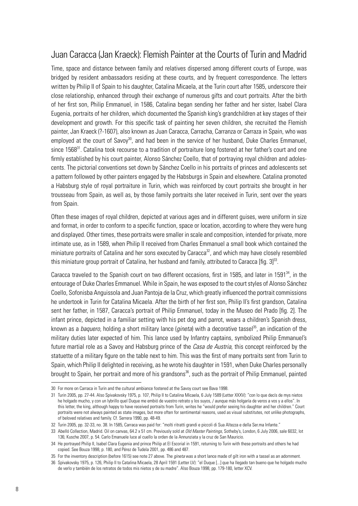# Juan Caracca (Jan Kraeck): Flemish Painter at the Courts of Turin and Madrid

Time, space and distance between family and relatives dispersed among different courts of Europe, was bridged by resident ambassadors residing at these courts, and by frequent correspondence. The letters written by Philip II of Spain to his daughter, Catalina Micaela, at the Turin court after 1585, underscore their close relationship, enhanced through their exchange of numerous gifts and court portraits. After the birth of her first son, Philip Emmanuel, in 1586, Catalina began sending her father and her sister, Isabel Clara Eugenia, portraits of her children, which documented the Spanish king's grandchildren at key stages of their development and growth. For this specific task of painting her seven children, she recruited the Flemish painter, Jan Kraeck (?-1607), also known as Juan Caracca, Carracha, Carranza or Carraza in Spain, who was employed at the court of Savoy<sup>30</sup>, and had been in the service of her husband, Duke Charles Emmanuel, since 1568<sup>31</sup>. Catalina took recourse to a tradition of portraiture long fostered at her father's court and one firmly established by his court painter, Alonso Sánchez Coello, that of portraying royal children and adolescents. The pictorial conventions set down by Sánchez Coello in his portraits of princes and adolescents set a pattern followed by other painters engaged by the Habsburgs in Spain and elsewhere. Catalina promoted a Habsburg style of royal portraiture in Turin, which was reinforced by court portraits she brought in her trousseau from Spain, as well as, by those family portraits she later received in Turin, sent over the years from Spain.

Often these images of royal children, depicted at various ages and in different guises, were uniform in size and format, in order to conform to a specific function, space or location, according to where they were hung and displayed. Other times, these portraits were smaller in scale and composition, intended for private, more intimate use, as in 1589, when Philip II received from Charles Emmanuel a small book which contained the miniature portraits of Catalina and her sons executed by Caracca<sup>32</sup>, and which may have closely resembled this miniature group portrait of Catalina, her husband and family, attributed to Caracca [fig.  $3^{33}$ .

Caracca traveled to the Spanish court on two different occasions, first in 1585, and later in 1591<sup>34</sup>, in the entourage of Duke Charles Emmanuel. While in Spain, he was exposed to the court styles of Alonso Sánchez Coello, Sofonisba Anguissola and Juan Pantoja de la Cruz, which greatly influenced the portrait commissions he undertook in Turin for Catalina Micaela. After the birth of her first son, Philip II's first grandson, Catalina sent her father, in 1587, Caracca's portrait of Philip Emmanuel, today in the Museo del Prado [fig. 2]. The infant prince, depicted in a familiar setting with his pet dog and parrot, wears a children's Spanish dress, known as a *baquero*, holding a short military lance (*gineta*) with a decorative tassel<sup>35</sup>, an indication of the military duties later expected of him. This lance used by Infantry captains, symbolized Philip Emmanuel's future martial role as a Savoy and Habsburg prince of the *Casa de Austria*, this concept reinforced by the statuette of a military figure on the table next to him. This was the first of many portraits sent from Turin to Spain, which Philip II delighted in receiving, as he wrote his daughter in 1591, when Duke Charles personally brought to Spain, her portrait and more of his grandsons<sup>36</sup>, such as the portrait of Philip Emmanuel, painted

<sup>30</sup> For more on Carraca in Turin and the cultural ambiance fostered at the Savoy court see Bava 1998.

<sup>31</sup> Turin 2005, pp. 27-44. Also Spivakovsky 1975, p. 107, Philip II to Catalina Micaela, 6 July 1589 (Letter XXXV): "con lo que decís de mys nietos he holgado mucho, y con un lybrillo quel Duque me embió de vuestro retrato y los suyos, / aunque más holgaría de veros a vos y a ellos". In this letter, the king, although happy to have received portraits from Turin, writes he "would prefer seeing his daughter and her children." Court portraits were not always painted as state images, but more often for sentimental reasons, used as visual substitutes, not unlike photographs, of beloved relatives and family. Cf. Serrera 1990, pp. 48-49.

<sup>32</sup> Turin 2005, pp. 32-33, no. 38. In 1585, Carraca was paid for: "molti ritratti grandi e piccoli di Sua Altezza e della Ser.ma Infante."

<sup>33</sup> Abelló Collection, Madrid. Oil on canvas, 64.2 x 51 cm. Previously sold at *Old Master Paintings*, Sotheby's, London, 6 July 2006, sale 6032, lot 136; Kusche 2007, p. 54. Carlo Emanuele luce al cuello la orden de la Annunziata y la cruz de San Mauricio.

<sup>34</sup> He portrayed Philip II, Isabel Clara Eugenia and prince Philip at El Escorial in 1591, returning to Turin with these portraits and others he had copied. See Bouza 1998, p. 180, and Pérez de Tudela 2001, pp. 486 and 487.

<sup>35</sup> For the inventory description (before 1615) see note 27 above. The *gineta* was a short lance made of gilt iron with a tassel as an adornment.

<sup>36</sup> Spivakovsky 1975, p. 126, Philip II to Catalina Micaela, 28 April 1591 (Letter LV): "el Duque [...] que ha llegado tan bueno que he holgado mucho de verlo y también de los retratos de todos mis nietos y de su madre". Also Bouza 1998, pp. 179-180, letter XCV.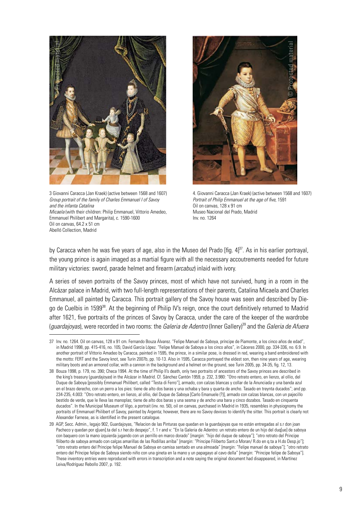

3 Giovanni Caracca (Jan Kraek) (active between 1568 and 1607) *Group portrait of the family of Charles Emmanuel I of Savoy and the infanta Catalina Micaela* (with their children: Philip Emmanuel, Vittorio Amedeo, Emmanuel Philibert and Margarita), c. 1590-1600 Oil on canvas, 64.2 x 51 cm Abelló Collection, Madrid



4. Giovanni Caracca (Jan Kraek) (active between 1568 and 1607) *Portrait of Philip Emmanuel at the age of five*, 1591 Oil on canvas, 128 x 91 cm Museo Nacional del Prado, Madrid Inv. no. 1264

by Caracca when he was five years of age, also in the Museo del Prado [fig. 4]<sup>37</sup>. As in his earlier portrayal, the young prince is again imaged as a martial figure with all the necessary accoutrements needed for future military victories: sword, parade helmet and firearm (*arcabuz*) inlaid with ivory.

A series of seven portraits of the Savoy princes, most of which have not survived, hung in a room in the Alcázar palace in Madrid, with two full-length representations of their parents, Catalina Micaela and Charles Emmanuel, all painted by Caracca. This portrait gallery of the Savoy house was seen and described by Diego de Cuelbis in 1599<sup>38</sup>. At the beginning of Philip IV's reign, once the court definitively returned to Madrid after 1621, five portraits of the princes of Savoy by Caracca, under the care of the keeper of the wardrobe (*guardajoyas*), were recorded in two rooms: the *Galeria de Adentro* (Inner Gallery)39 and the *Galeria de Afuera* 

<sup>37</sup> Inv. no. 1264. Oil on canvas, 128 x 91 cm. Fernando Bouza Álvarez. "Felipe Manuel de Saboya, príncipe de Piamonte, a los cinco años de edad", in Madrid 1998, pp. 415-416, no. 105; David García López. "Felipe Manuel de Saboya a los cinco años", in Cáceres 2000, pp. 334-336, no. 6.9. In another portrait of Vittorio Amadeo by Caracca, painted in 1595, the prince, in a similar pose, is dressed in red, wearing a band embroidered with the motto: FERT and the Savoy knot, see Turin 2007b, pp. 10-13. Also in 1595, Caracca portrayed the eldest son, then nine years of age, wearing military boots and an armored collar, with a cannon in the background and a helmet on the ground, see Turin 2005, pp. 34-35, fig. 12, 13.

<sup>38</sup> Bouza 1998, p. 179, no. 390; Checa 1994. At the time of Philip II's death, only two portraits of ancestors of the Savoy princes are described in the king's treasury (*guardajoyas*) in the Alcázar in Madrid. Cf. Sánchez Cantón 1959, p. 232, 3.980: "Otro retrato entero, en lienzo, al ollio, del Duque de Saboya [possibly Emmanuel Philibert, called "Testa di Ferro"], armado, con calzas blancas y collar de la Anunciada y una banda azul en el brazo derecho, con un perro a los pies: tiene de alto dos baras y una ochaba y bara y quarta de ancho. Tasado en treynta ducados"; and pp. 234-235, 4.003: "Otro retrato entero, en lienzo, al ollio, del Duque de Saboya [Carlo Emanuele (?)], armado con calzas blancas, con un pajecillo bestido de verde, que le lleva las manoplas; tiene de alto dos baras y una sesma y de ancho una bara y cinco dozabos. Tasado en cinquenta ducados". In the Municipal Museum of Vigo, a portrait (inv. no. 50), oil on canvas, purchased in Madrid in 1935, resembles in physiognomy the portraits of Emmanuel Philibert of Savoy, painted by Argenta; however, there are no Savoy devices to identify the sitter. This portrait is clearly not Alexander Farnese, as is identified in the present catalogue.

<sup>39</sup> AGP, Secc. Admin., legajo 902, Guardajoyas, "Relacion de las Pinturas que quedan en la guardajoyas que no están entregadas al s.r don joan Pacheco y quedan por q[uen].ta del s.r her.do despejo", f. 1 r and v: "En la Galeria de Adentro: un retrato entero de un hijo del duq[ue] de saboya con baquero con la mano izquierda jugando con un perrillo en marco dorado" [margin: "hijo del duque de saboya"]; "otro retrato del Principe filiberto de saboya armado con calças amarillas de las Rodillas arriba" [margin: "Principe Filiberto Sant.o Moran/ R.do en q.ta a H.do Desp.jo"]; "otro retrato entero del Principe felipe Manuel de Saboya en camisa sentado en una almoada" [margin: "Felipe manuel de saboya"]; "otro retrato entero del Príncipe felipe de Saboya siendo niño con una gineta en la mano y un papagayo al cavo della" [margin: "Principe felipe de Saboya"]. These inventory entries were reproduced with errors in transcription and a note saying the original document had disappeared, in Martínez Leiva/Rodríguez Rebollo 2007, p. 192.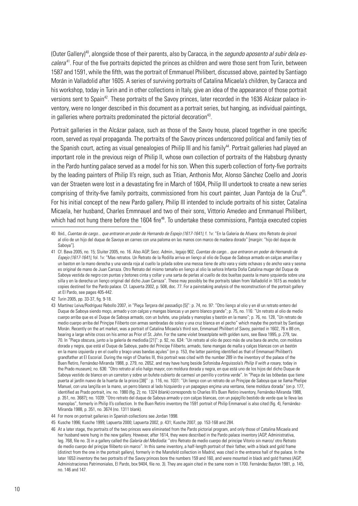(Outer Gallery)40, alongside those of their parents, also by Caracca, in the *segundo aposento al subir dela escalera*41. Four of the five portraits depicted the princes as children and were those sent from Turin, between 1587 and 1591, while the fifth, was the portrait of Emmanuel Philibert, discussed above, painted by Santiago Morán in Valladolid after 1605. A series of surviving portraits of Catalina Micaela's children, by Caracca and his workshop, today in Turin and in other collections in Italy, give an idea of the appearance of those portrait versions sent to Spain<sup>42</sup>. These portraits of the Savoy princes, later recorded in the 1636 Alcázar palace inventory, were no longer described in this document as a portrait series, but hanging, as individual paintings, in galleries where portraits predominated the pictorial decoration<sup>43</sup>.

Portrait galleries in the Alcázar palace, such as those of the Savoy house, placed together in one specific room, served as royal propaganda. The portraits of the Savoy princes underscored political and family ties of the Spanish court, acting as visual genealogies of Philip III and his family<sup>44</sup>. Portrait galleries had played an important role in the previous reign of Philip II, whose own collection of portraits of the Habsburg dynasty in the Pardo hunting palace served as a model for his son. When this superb collection of forty-five portraits by the leading painters of Philip II's reign, such as Titian, Anthonis Mor, Alonso Sánchez Coello and Jooris van der Straeten were lost in a devastating fire in March of 1604, Philip III undertook to create a new series comprising of thrity-five family portraits, commissioned from his court painter, Juan Pantoja de la Cruz<sup>45</sup>. For his initial concept of the new Pardo gallery, Philip III intended to include portraits of his sister, Catalina Micaela, her husband, Charles Emmnauel and two of their sons, Vittorio Amedeo and Emmanuel Philibert, which had not hung there before the 1604 fire<sup>46</sup>. To undertake these commissions, Pantoja executed copies

<sup>40</sup> Ibid., *Cuentas de cargo... que entraron en poder de Hernando de Espejo (1617-1641)*, f. 1v: "En la Galeria de Afuera: otro Retrato de pinzel al olio de un hijo del duque de Savoya en carnes con una paloma en las manos con marco de madera dorado" [margin: "hijo del duque de Saboya"].

<sup>41</sup> Cf. Bava 2005, no. 15; Sluiter 2005, no. 16. Also AGP, Secc. Admin., legajo 902, *Cuentas de cargo... que entraron en poder de Hernando de Espejo (1617-1641)*, fol. 1v: "Mas retratos. Un Retrato de la Rodilla arriva en lienço al olio de Duque de Saboya armado en calças amarillas y un baston en la mano derecha y una vanda roja al cuello la çelada sobre una messa tiene de alto vara y siete ochavas y de ancho vara y sesma es original de mano de Juan Carraza. Otro Retrato del mismo tamaño en lienço al olio la señora Infanta Doña Catalina muger del Duque de Saboya vestida de negro con puntas y botones cinta y collar y una sarta de perlas al cuello de dos bueltas puesta la mano yzquierda sobre una silla y en la derecha un lienço original del dicho Juan Carraza". These may possibly be the portraits taken from Valladolid in 1615 as models for copies destined for the Pardo palace. Cf. Lapuerta 2002, p. 508, doc. 77. For a painstaking analysis of the reconstruction of the portrait gallery at El Pardo, see pages 405-442.

<sup>42</sup> Turin 2005, pp. 33-37, fig. 9-18.

<sup>43</sup> Martínez Leiva/Rodríguez Rebollo 2007, in "Pieça Terçera del passadiço [5]": p. 74, no. 97: "Otro lienço al olio y en él un retrato entero del Duque de Saboya siendo moço, armado y con calças y mangas blancas y un perro blanco grande"; p. 75, no. 116: "Un retrato al olio de medio cuerpo arriba que es el Duque de Saboya armado, con un bufete, una çelada y manoplas y bastón en la mano"; p. 76, no. 128, "Un retrato de medio cuerpo arriba del Prinçipe Filiberto con armas sembradas de soles y una cruz blanca en el pecho" which maybe the portrait by Santiago Morán. Recently on the art market, was a portrait of Catalina Micaela's third son, Emmanuel Philibert of Savoy, painted in 1602, 76 x 88 cm, bearing a large white cross on his armor as Prior of St. John. For the same violet breastplate with golden suns, see Bava 1995, p. 279, tav. 70. In "Pieça obscura, junto a la galería de mediodía [21]": p. 92, no. 634: "Un retrato al olio de poco más de una bara de ancho, con moldura dorada y negra, que está el Duque de Saboya, padre del Príncipe Filiberto, armado, tiene mangas de malla y calças blancas con un bastón en la mano izquierda y en el cuello y braço unas bandas açules" (on p. 153, the latter painting identified as that of Emmanuel Philibert's grandfather at El Escorial. During the reign of Charles III, this portrait was cited with the number 289 in the inventory of the palace of the Buen Retiro, Fernández-Miranda 1988, p. 279, no. 2652, and may have hung beside Sofonisba Anguissola's *Philip II with a rosary*, today in the Prado museum); no. 636: "Otro retrato al olio halgo mayor, con moldura dorada y negra, en que está uno de los hijos del dicho Duque de Saboya vestido de blanco en un carreton y sobre un bufete cubierto de carmesí un perrillo y cortina verde". In "Pieça de las bóbedas que tiene puerta al jardín nuevo de la huerta de la priora [38]" : p. 116, no. 1031: "Un lienço con un retrato de un Prinçipe de Saboya que se llama Phelipe Manuel, con una lançilla en la mano, un perro blanco al lado hizquierdo y un papagayo ençima una ventana, tiene moldura dorada" (on p. 177, identified as Prado portrait, inv. no. 1980 (fig. 2); no. 1324 (blank) corresponds to Charles III's Buen Retiro inventory, Fernández-Miranda 1988, p. 351, no. 3687); no. 1039: "Otro retrato del duque de Saboya armado y con calças blancas, con un pajeçillo bestido de verde que le lleva las manoplas", formerly in Philip II's collection. In the Buen Retiro inventory the 1591 portrait of Philip Emmanuel is also cited (fig. 4), Fernández-Miranda 1988, p. 351, no. 3674 (no. 1311 blank).

<sup>44</sup> For more on portrait galleries in Spanish collections see Jordan 1998.

<sup>45</sup> Kusche 1996; Kusche 1999; Lapuerta 2000; Lapuerta 2002, p. 431; Kusche 2007, pp. 153-168 and 284.

<sup>46</sup> At a later stage, the portraits of the two princes were eliminated from the Pardo pictorial program, and only those of Catalina Micaela and her husband were hung in the new gallery. However, after 1614, they were described in the Pardo palace inventory (AGP, Administrativa, leg. 768, file no. 3) in a gallery called the *Galería del Mediodía:* "otro Retrato de medio cuerpo del principe Vitorio sin marco/ otro Retrato de medio cuerpo del prinçipe filiberto sin marco". In this same inventory, a half-length portrait of their father, with a black and gold frame (distinct from the one in the portrait gallery), formerly in the Mansfeld collection in Madrid, was cited in the entrance hall of the palace. In the later 1653 inventory the two portraits of the Savoy princes bore the numbers 159 and 160, and were mounted in black and gold frames (AGP, Administraciones Patrimoniales, El Pardo, box 9404, file no. 3). They are again cited in the same room in 1700. Fernández Bayton 1981, p. 145, no. 146 and 147.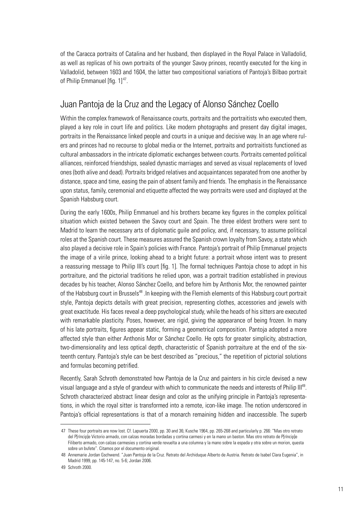of the Caracca portraits of Catalina and her husband, then displayed in the Royal Palace in Valladolid, as well as replicas of his own portraits of the younger Savoy princes, recently executed for the king in Valladolid, between 1603 and 1604, the latter two compositional variations of Pantoja's Bilbao portrait of Philip Emmanuel [fig.  $1]$ <sup>4/</sup>.

# Juan Pantoja de la Cruz and the Legacy of Alonso Sánchez Coello

Within the complex framework of Renaissance courts, portraits and the portraitists who executed them. played a key role in court life and politics. Like modern photographs and present day digital images, portraits in the Renaissance linked people and courts in a unique and decisive way. In an age where rulers and princes had no recourse to global media or the Internet, portraits and portraitists functioned as cultural ambassadors in the intricate diplomatic exchanges between courts. Portraits cemented political alliances, reinforced friendships, sealed dynastic marriages and served as visual replacements of loved ones (both alive and dead). Portraits bridged relatives and acquaintances separated from one another by distance, space and time, easing the pain of absent family and friends. The emphasis in the Renaissance upon status, family, ceremonial and etiquette affected the way portraits were used and displayed at the Spanish Habsburg court.

During the early 1600s, Philip Emmanuel and his brothers became key figures in the complex political situation which existed between the Savoy court and Spain. The three eldest brothers were sent to Madrid to learn the necessary arts of diplomatic guile and policy, and, if necessary, to assume political roles at the Spanish court. These measures assured the Spanish crown loyalty from Savoy, a state which also played a decisive role in Spain's policies with France. Pantoja's portrait of Philip Emmanuel projects the image of a virile prince, looking ahead to a bright future: a portrait whose intent was to present a reassuring message to Philip III's court [fig. 1]. The formal techniques Pantoja chose to adopt in his portraiture, and the pictorial traditions he relied upon, was a portrait tradition established in previous decades by his teacher, Alonso Sánchez Coello, and before him by Anthonis Mor, the renowned painter of the Habsburg court in Brussels<sup>48</sup>. In keeping with the Flemish elements of this Habsburg court portrait style, Pantoja depicts details with great precision, representing clothes, accessories and jewels with great exactitude. His faces reveal a deep psychological study, while the heads of his sitters are executed with remarkable plasticity. Poses, however, are rigid, giving the appearance of being frozen. In many of his late portraits, figures appear static, forming a geometrical composition. Pantoja adopted a more affected style than either Anthonis Mor or Sánchez Coello. He opts for greater simplicity, abstraction, two-dimensionality and less optical depth, characteristic of Spanish portraiture at the end of the sixteenth century. Pantoja's style can be best described as "precious," the repetition of pictorial solutions and formulas becoming petrified.

Recently, Sarah Schroth demonstrated how Pantoja de la Cruz and painters in his circle devised a new visual language and a style of grandeur with which to communicate the needs and interests of Philip III49. Schroth characterized abstract linear design and color as the unifying principle in Pantoja's representations, in which the royal sitter is transformed into a remote, icon-like image. The notion underscored in Pantoja's official representations is that of a monarch remaining hidden and inaccessible. The superb

<sup>47</sup> These four portraits are now lost. Cf. Lapuerta 2000, pp. 30 and 36; Kusche 1964, pp. 265-268 and particularly p. 266: "Mas otro retrato del P[ríncip]e Victorio armado, con calzas moradas bordadas y cortina carmesi y en la mano un baston. Mas otro retrato de P[ríncip]e Filiberto armado, con calzas carmesies y cortina verde revuelta a una columna y la mano sobre la espada y otra sobre un morion, questa sobre un bufete". Citamos por el documento original.

<sup>48</sup> Annemarie Jordan Gschwend. "Juan Pantoja de la Cruz. Retrato del Archiduque Alberto de Austria. Retrato de Isabel Clara Eugenia", in Madrid 1999, pp. 145-147, no. 5-6; Jordan 2006.

<sup>49</sup> Schroth 2000.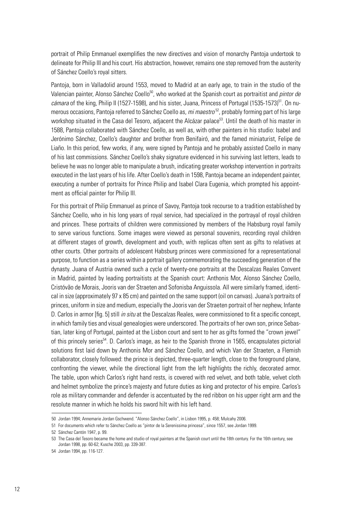portrait of Philip Emmanuel exemplifies the new directives and vision of monarchy Pantoja undertook to delineate for Philip III and his court. His abstraction, however, remains one step removed from the austerity of Sánchez Coello's royal sitters.

Pantoja, born in Valladolid around 1553, moved to Madrid at an early age, to train in the studio of the Valencian painter, Alonso Sánchez Coello<sup>50</sup>, who worked at the Spanish court as portraitist and *pintor de* cámara of the king, Philip II (1527-1598), and his sister, Juana, Princess of Portugal (1535-1573)<sup>51</sup>. On numerous occasions, Pantoja referred to Sánchez Coello as, *mi maestro* 52, probably forming part of his large workshop situated in the Casa del Tesoro, adjacent the Alcázar palace<sup>53</sup>. Until the death of his master in 1588, Pantoja collaborated with Sánchez Coello, as well as, with other painters in his studio: Isabel and Jerónimo Sánchez, Coello's daughter and brother from Benifairó, and the famed miniaturist, Felipe de Liaño. In this period, few works, if any, were signed by Pantoja and he probably assisted Coello in many of his last commissions. Sánchez Coello's shaky signature evidenced in his surviving last letters, leads to believe he was no longer able to manipulate a brush, indicating greater workshop intervention in portraits executed in the last years of his life. After Coello's death in 1598, Pantoja became an independent painter, executing a number of portraits for Prince Philip and Isabel Clara Eugenia, which prompted his appointment as official painter for Philip III.

For this portrait of Philip Emmanuel as prince of Savoy, Pantoja took recourse to a tradition established by Sánchez Coello, who in his long years of royal service, had specialized in the portrayal of royal children and princes. These portraits of children were commissioned by members of the Habsburg royal family to serve various functions. Some images were viewed as personal souvenirs, recording royal children at different stages of growth, development and youth, with replicas often sent as gifts to relatives at other courts. Other portraits of adolescent Habsburg princes were commissioned for a representational purpose, to function as a series within a portrait gallery commemorating the succeeding generation of the dynasty. Juana of Austria owned such a cycle of twenty-one portraits at the Descalzas Reales Convent in Madrid, painted by leading portraitists at the Spanish court: Anthonis Mor, Alonso Sánchez Coello, Cristóvão de Morais, Jooris van der Straeten and Sofonisba Anguissola. All were similarly framed, identical in size (approximately 97 x 85 cm) and painted on the same support (oil on canvas). Juana's portraits of princes, uniform in size and medium, especially the Jooris van der Straeten portrait of her nephew, Infante D. Carlos in armor [fig. 5] still *in situ* at the Descalzas Reales, were commissioned to fit a specific concept, in which family ties and visual genealogies were underscored. The portraits of her own son, prince Sebastian, later king of Portugal, painted at the Lisbon court and sent to her as gifts formed the "crown jewel" of this princely series<sup>54</sup>. D. Carlos's image, as heir to the Spanish throne in 1565, encapsulates pictorial solutions first laid down by Anthonis Mor and Sánchez Coello, and which Van der Straeten, a Flemish collaborator, closely followed: the prince is depicted, three-quarter length, close to the foreground plane, confronting the viewer, while the directional light from the left highlights the richly, decorated armor. The table, upon which Carlos's right hand rests, is covered with red velvet, and both table, velvet cloth and helmet symbolize the prince's majesty and future duties as king and protector of his empire. Carlos's role as military commander and defender is accentuated by the red ribbon on his upper right arm and the resolute manner in which he holds his sword hilt with his left hand.

<sup>50</sup> Jordan 1994; Annemarie Jordan Gschwend. "Alonso Sánchez Coello", in Lisbon 1995, p. 458; Mulcahy 2006.

<sup>51</sup> For documents which refer to Sánchez Coello as "pintor de la Serenissima princesa", since 1557, see Jordan 1999.

<sup>52</sup> Sánchez Cantón 1947, p. 99.

<sup>53</sup> The Casa del Tesoro became the home and studio of royal painters at the Spanish court until the 18th century. For the 16th century, see Jordan 1998, pp. 60-62; Kusche 2003, pp. 339-387.

<sup>54</sup> Jordan 1994, pp. 116-127.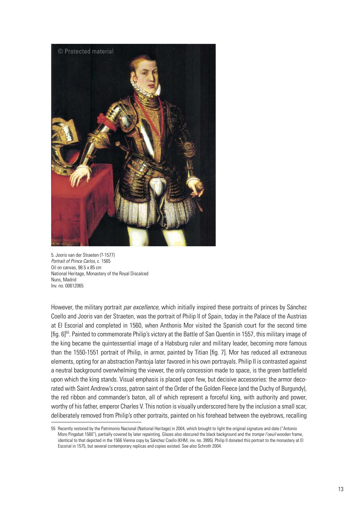

5. Jooris van der Straeten (?-1577) *Portrait of Prince Carlos*, c. 1565 Oil on canvas, 98.5 x 85 cm National Heritage, Monastery of the Royal Discalced Nuns, Madrid Inv. no. 00612065

However, the military portrait *par excellence*, which initially inspired these portraits of princes by Sánchez Coello and Jooris van der Straeten, was the portrait of Philip II of Spain, today in the Palace of the Austrias at El Escorial and completed in 1560, when Anthonis Mor visited the Spanish court for the second time [fig. 6]55. Painted to commemorate Philip's victory at the Battle of San Quentin in 1557, this military image of the king became the quintessential image of a Habsburg ruler and military leader, becoming more famous than the 1550-1551 portrait of Philip, in armor, painted by Titian [fig. 7]. Mor has reduced all extraneous elements, opting for an abstraction Pantoja later favored in his own portrayals. Philip II is contrasted against a neutral background overwhelming the viewer, the only concession made to space, is the green battlefield upon which the king stands. Visual emphasis is placed upon few, but decisive accessories: the armor decorated with Saint Andrew's cross, patron saint of the Order of the Golden Fleece (and the Duchy of Burgundy), the red ribbon and commander's baton, all of which represent a forceful king, with authority and power, worthy of his father, emperor Charles V. This notion is visually underscored here by the inclusion a small scar, deliberately removed from Philip's other portraits, painted on his forehead between the eyebrows, recalling

<sup>55</sup> Recently restored by the Patrimonio Nacional (National Heritage) in 2004, which brought to light the original signature and date ("Antonio Moro Pingebat 1560"), partially covered by later repainting. Glazes also obscured the black background and the *trompe l'oeuil* wooden frame, identical to that depicted in the 1566 Vienna copy by Sánchez Coello (KHM, inv. no. 3995). Philip II donated this portrait to the monastery at El Escorial in 1575, but several contemporary replicas and copies existed. See also Schroth 2004.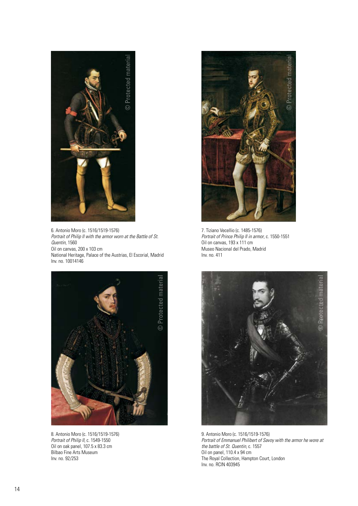

6. Antonio Moro (c. 1516/1519-1576) *Portrait of Philip II with the armor worn at the Battle of St. Quentin*, 1560 Oil on canvas, 200 x 103 cm National Heritage, Palace of the Austrias, El Escorial, Madrid Inv. no. 10014146



8. Antonio Moro (c. 1516/1519-1576) *Portrait of Philip II*, c. 1549-1550 Oil on oak panel, 107.5 x 83.3 cm Bilbao Fine Arts Museum Inv. no. 92/253



7. Tiziano Vecellio (c. 1485-1576) *Portrait of Prince Philip II in armor*, c. 1550-1551 Oil on canvas, 193 x 111 cm Museo Nacional del Prado, Madrid Inv. no. 411



9. Antonio Moro (c. 1516/1519-1576) *Portrait of Emmanuel Philibert of Savoy with the armor he wore at the battle of St. Quentin,* c. 1557 Oil on panel, 110.4 x 94 cm The Royal Collection, Hampton Court, London Inv. no. RCIN 403945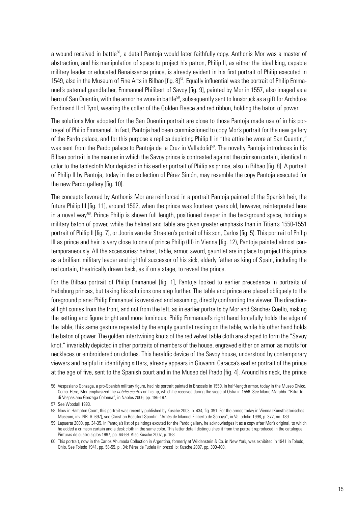a wound received in battle<sup>56</sup>, a detail Pantoja would later faithfully copy. Anthonis Mor was a master of abstraction, and his manipulation of space to project his patron, Philip II, as either the ideal king, capable military leader or educated Renaissance prince, is already evident in his first portrait of Philip executed in 1549, also in the Museum of Fine Arts in Bilbao [fig.  $8$ ]<sup>57</sup>. Equally influential was the portrait of Philip Emmanuel's paternal grandfather, Emmanuel Philibert of Savoy [fig. 9], painted by Mor in 1557, also imaged as a hero of San Quentin, with the armor he wore in battle<sup>58</sup>, subsequently sent to Innsbruck as a gift for Archduke Ferdinand II of Tyrol, wearing the collar of the Golden Fleece and red ribbon, holding the baton of power.

The solutions Mor adopted for the San Quentin portrait are close to those Pantoja made use of in his portrayal of Philip Emmanuel. In fact, Pantoja had been commissioned to copy Mor's portrait for the new gallery of the Pardo palace, and for this purpose a replica depicting Philip II in "the attire he wore at San Quentin," was sent from the Pardo palace to Pantoja de la Cruz in Valladolid<sup>59</sup>. The novelty Pantoja introduces in his Bilbao portrait is the manner in which the Savoy prince is contrasted against the crimson curtain, identical in color to the tablecloth Mor depicted in his earlier portrait of Philip as prince, also in Bilbao [fig. 8]. A portrait of Philip II by Pantoja, today in the collection of Pérez Simón, may resemble the copy Pantoja executed for the new Pardo gallery [fig. 10].

The concepts favored by Anthonis Mor are reinforced in a portrait Pantoja painted of the Spanish heir, the future Philip III [fig. 11], around 1592, when the prince was fourteen years old, however, reinterpreted here in a novel way <sup>60</sup>. Prince Philip is shown full length, positioned deeper in the background space, holding a military baton of power, while the helmet and table are given greater emphasis than in Titian's 1550-1551 portrait of Philip II [fig. 7], or Jooris van der Straeten's portrait of his son, Carlos [fig. 5). This portrait of Philip III as prince and heir is very close to one of prince Philip (III) in Vienna [fig. 12), Pantoja painted almost contemporaneously. All the accessories: helmet, table, armor, sword, gauntlet are in place to project this prince as a brilliant military leader and rightful successor of his sick, elderly father as king of Spain, including the red curtain, theatrically drawn back, as if on a stage, to reveal the prince.

For the Bilbao portrait of Philip Emmanuel [fig. 1], Pantoja looked to earlier precedence in portraits of Habsburg princes, but taking his solutions one step further. The table and prince are placed obliquely to the foreground plane: Philip Emmanuel is oversized and assuming, directly confronting the viewer. The directional light comes from the front, and not from the left, as in earlier portraits by Mor and Sánchez Coello, making the setting and figure bright and more luminous. Philip Emmanuel's right hand forcefully holds the edge of the table, this same gesture repeated by the empty gauntlet resting on the table, while his other hand holds the baton of power. The golden intertwining knots of the red velvet table cloth are shaped to form the "Savoy knot," invariably depicted in other portraits of members of the house, engraved either on armor, as motifs for necklaces or embroidered on clothes. This heraldic device of the Savoy house, understood by contemporary viewers and helpful in identifying sitters, already appears in Giovanni Caracca's earlier portrait of the prince at the age of five, sent to the Spanish court and in the Museo del Prado [fig. 4]. Around his neck, the prince

<sup>56</sup> Vespasiano Gonzaga, a pro-Spanish military figure, had his portrait painted in Brussels in 1559, in half-length armor, today in the Museo Civico, Como. Here, Mor emphasized the *nobilis cicatrix* on his lip, which he received during the siege of Ostia in 1556. See Mario Marubbi. "Ritratto di Vespasiano Gonzaga Colonna", in Naples 2006, pp. 196-197.

<sup>57</sup> See Woodall 1993.

<sup>58</sup> Now in Hampton Court, this portrait was recently published by Kusche 2003, p. 434, fig. 391. For the armor, today in Vienna (Kunsthistorisches Museum, inv. NR. A. 697), see Christian Beaufort-Spontin. "Arnés de Manuel Filiberto de Saboya", in Valladolid 1998, p. 377, no. 189.

<sup>59</sup> Lapuerta 2000, pp. 34-35. In Pantoja's list of paintings excuted for the Pardo gallery, he acknowledges it as a copy after Mor's original, to which he added a crimson curtain and a desk cloth in the same color. This latter detail distinguishes it from the portrait reproduced in the catalogue Pinturas de cuatro siglos 1997, pp. 64-69. Also Kusche 2007, p. 163.

<sup>60</sup> This portrait, now in the Carlos Ahumada Collection in Argentina, formerly at Wildenstein & Co. in New York, was exhibited in 1941 in Toledo, Ohio. See Toledo 1941, pp. 58-59, pl. 34; Pérez de Tudela (in press)\_b; Kusche 2007, pp. 399-400.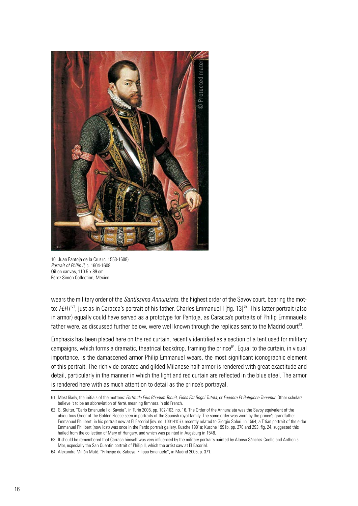

10. Juan Pantoja de la Cruz (c. 1553-1608) *Portrait of Philip II*, c. 1604-1608 Oil on canvas, 110.5 x 89 cm Pérez Simón Collection, México

wears the military order of the *Santissima Annunziata*, the highest order of the Savoy court, bearing the motto: *FERT*<sup>61</sup>, just as in Caracca's portrait of his father, Charles Emmanuel I [fig. 13]<sup>62</sup>. This latter portrait (also in armor) equally could have served as a prototype for Pantoja, as Caracca's portraits of Philip Emmnauel's father were, as discussed further below, were well known through the replicas sent to the Madrid court<sup>63</sup>.

Emphasis has been placed here on the red curtain, recently identified as a section of a tent used for military campaigns, which forms a dramatic, theatrical backdrop, framing the prince<sup>64</sup>. Equal to the curtain, in visual importance, is the damascened armor Philip Emmanuel wears, the most significant iconographic element of this portrait. The richly de-corated and gilded Milanese half-armor is rendered with great exactitude and detail, particularly in the manner in which the light and red curtain are reflected in the blue steel. The armor is rendered here with as much attention to detail as the prince's portrayal.

<sup>61</sup> Most likely, the initials of the mottoes: *Fortitudo Eius Rhodum Tenuit*, *Fides Est Regni Tutela*, or *Foedere Et Religione Tenemur*. Other scholars believe it to be an abbreviation of *fertè*, meaning firmness in old French.

<sup>62</sup> G. Sluiter. "Carlo Emanuele I di Savoia", in Turin 2005, pp. 102-103, no. 16. The Order of the Annunziata was the Savoy equivalent of the ubiquitous Order of the Golden Fleece seen in portraits of the Spanish royal family. The same order was worn by the prince's grandfather, Emmanuel Philibert, in his portrait now at El Escorial (inv. no. 10014157), recently related to Giorgio Soleri. In 1564, a Titian portrait of the elder Emmanuel Philibert (now lost) was once in the Pardo portrait gallery. Kusche 1991a; Kusche 1991b, pp. 270 and 293, fig. 24, suggested this hailed from the collection of Mary of Hungary, and which was painted in Augsburg in 1548.

<sup>63</sup> It should be remembered that Carraca himself was very influenced by the military portraits painted by Alonso Sánchez Coello and Anthonis Mor, especially the San Quentin portrait of Philip II, which the artist saw at El Escorial.

<sup>64</sup> Alexandra Millón Maté. "Príncipe de Saboya. Filippo Emanuele", in Madrid 2005, p. 371.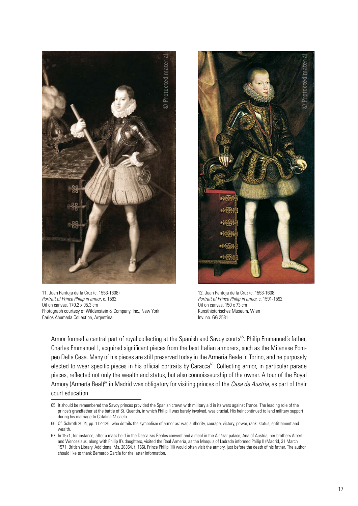

11. Juan Pantoja de la Cruz (c. 1553-1608) *Portrait of Prince Philip in armor*, c. 1592 Oil on canvas, 170.2 x 95.3 cm Photograph courtesy of Wildenstein & Company, Inc., New York Carlos Ahumada Collection, Argentina



12. Juan Pantoja de la Cruz (c. 1553-1608) *Portrait of Prince Philip in armor,* c. 1591-1592 Oil on canvas, 150 x 73 cm Kunsthistorisches Museum, Wien Inv. no. GG 2581

Armor formed a central part of royal collecting at the Spanish and Savoy courts<sup>65</sup>: Philip Emmanuel's father, Charles Emmanuel I, acquired significant pieces from the best Italian armorers, such as the Milanese Pompeo Della Cesa. Many of his pieces are still preserved today in the Armeria Reale in Torino, and he purposely elected to wear specific pieces in his official portraits by Caracca<sup>66</sup>. Collecting armor, in particular parade pieces, reflected not only the wealth and status, but also connoisseurship of the owner. A tour of the Royal Armory (Armería Real)67 in Madrid was obligatory for visiting princes of the *Casa de Austria*, as part of their court education.

<sup>65</sup> It should be remembered the Savoy princes provided the Spanish crown with military aid in its wars against France. The leading role of the prince's grandfather at the battle of St. Quentin, in which Philip II was barely involved, was crucial. His heir continued to lend military support during his marriage to Catalina Micaela.

<sup>66</sup> Cf. Schroth 2004, pp. 112-126, who details the symbolism of armor as: war, authority, courage, victory, power, rank, status, entitlement and wealth.

<sup>67</sup> In 1571, for instance, after a mass held in the Descalzas Reales convent and a meal in the Alcázar palace, Ana of Austria, her brothers Albert and Wenceslaus, along with Philip II's daughters, visited the Real Armería, as the Marquis of Ladrada informed Philip II (Madrid, 31 March 1571. British Library, Additional Ms. 28354, f. 166). Prince Philip (III) would often visit the armory, just before the death of his father. The author should like to thank Bernardo García for the latter information.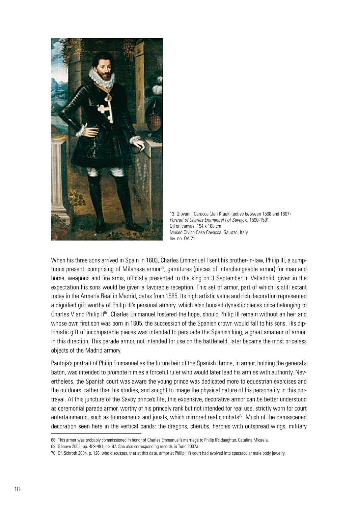

13. Giovanni Caracca (Jan Kraek) (active between 1568 and 1607) *Portrait of Charles Emmanuel I of Savoy*, c. 1590-1591 Oil on canvas, 194 x 108 cm Museo Civico Casa Cavassa, Saluzzo, Italy Inv. no. OA 21

When his three sons arrived in Spain in 1603. Charles Emmanuel I sent his brother-in-law, Philip III, a sumptuous present, comprising of Milanese armor<sup>68</sup>, garnitures (pieces of interchangeable armor) for man and horse, weapons and fire arms, officially presented to the king on 3 September in Valladolid, given in the expectation his sons would be given a favorable reception. This set of armor, part of which is still extant today in the Armería Real in Madrid, dates from 1585. Its high artistic value and rich decoration represented a dignified gift worthy of Philip III's personal armory, which also housed dynastic pieces once belonging to Charles V and Philip II<sup>69</sup>. Charles Emmanuel fostered the hope, should Philip III remain without an heir and whose own first son was born in 1605, the succession of the Spanish crown would fall to his sons. His diplomatic gift of incomparable pieces was intended to persuade the Spanish king, a great amateur of armor, in this direction. This parade armor, not intended for use on the battlefield, later became the most priceless objects of the Madrid armory.

Pantoja's portrait of Philip Emmanuel as the future heir of the Spanish throne, in armor, holding the general's baton, was intended to promote him as a forceful ruler who would later lead his armies with authority. Nevertheless, the Spanish court was aware the young prince was dedicated more to equestrian exercises and the outdoors, rather than his studies, and sought to image the physical nature of his personality in this portrayal. At this juncture of the Savoy prince's life, this expensive, decorative armor can be better understood as ceremonial parade armor, worthy of his princely rank but not intended for real use, strictly worn for court entertainments, such as tournaments and jousts, which mirrored real combats<sup>70</sup>. Much of the damascened decoration seen here in the vertical bands: the dragons, cherubs, harpies with outspread wings, military

<sup>68</sup> This armor was probably commissioned in honor of Charles Emmanuel's marriage to Philip II's daughter, Catalina Micaela.

<sup>69</sup> Geneve 2003, pp. 489-491, no. 87. See also corresponding records in Turin 2007a.

<sup>70</sup> Cf. Schroth 2004, p. 126, who discusses, that at this date, armor at Philip III's court had evolved into spectacular male body jewelry.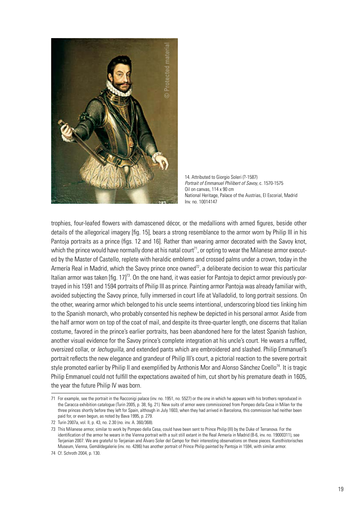

14. Attributed to Giorgio Soleri (?-1587) *Portrait of Emmanuel Philibert of Savoy*, c. 1570-1575 Oil on canvas, 114 x 90 cm National Heritage, Palace of the Austrias, El Escorial, Madrid Inv. no. 10014147

trophies, four-leafed flowers with damascened décor, or the medallions with armed figures, beside other details of the allegorical imagery [fig. 15], bears a strong resemblance to the armor worn by Philip III in his Pantoja portraits as a prince (figs. 12 and 16]. Rather than wearing armor decorated with the Savoy knot, which the prince would have normally done at his natal court<sup>71</sup>, or opting to wear the Milanese armor executed by the Master of Castello, replete with heraldic emblems and crossed palms under a crown, today in the Armería Real in Madrid, which the Savoy prince once owned<sup>72</sup>, a deliberate decision to wear this particular Italian armor was taken [fig. 17]<sup>73</sup>. On the one hand, it was easier for Pantoja to depict armor previously portrayed in his 1591 and 1594 portraits of Philip III as prince. Painting armor Pantoja was already familiar with, avoided subjecting the Savoy prince, fully immersed in court life at Valladolid, to long portrait sessions. On the other, wearing armor which belonged to his uncle seems intentional, underscoring blood ties linking him to the Spanish monarch, who probably consented his nephew be depicted in his personal armor. Aside from the half armor worn on top of the coat of mail, and despite its three-quarter length, one discerns that Italian costume, favored in the prince's earlier portraits, has been abandoned here for the latest Spanish fashion, another visual evidence for the Savoy prince's complete integration at his uncle's court. He wears a ruffled, oversized collar, or *lechuguilla*, and extended pants which are embroidered and slashed. Philip Emmanuel's portrait reflects the new elegance and grandeur of Philip III's court, a pictorial reaction to the severe portrait style promoted earlier by Philip II and exemplified by Anthonis Mor and Alonso Sánchez Coello<sup>74</sup>. It is tragic Philip Emmanuel could not fulfill the expectations awaited of him, cut short by his premature death in 1605, the year the future Philip IV was born.

<sup>71</sup> For example, see the portrait in the Racconigi palace (inv. no. 1951, no. 5527) or the one in which he appears with his brothers reproduced in the Caracca exhibition catalogue (Turin 2005, p. 38, fig. 21). New suits of armor were commissioned from Pompeo della Cesa in Milan for the three princes shortly before they left for Spain, although in July 1603, when they had arrived in Barcelona, this commission had neither been paid for, or even begun, as noted by Bava 1995, p. 279.

<sup>72</sup> Turin 2007a, vol. II, p. 43, no. 2.30 (no. inv. A. 360/368).

<sup>73</sup> This Milanese armor, similar to work by Pompeo della Cesa, could have been sent to Prince Philip (III) by the Duke of Terranova. For the identification of the armor he wears in the Vienna portrait with a suit still extant in the Real Armería in Madrid (B-6, inv. no. 19000311), see Terjanian 2007. We are grateful to Terjanian and Álvaro Soler del Campo for their interesting observations on these pieces. Kunsthistorisches Museum, Vienna, Gemäldegalerie (inv. no. 4286) has another portrait of Prince Philip painted by Pantoja in 1594, with similar armor.

<sup>74</sup> Cf. Schroth 2004, p. 130.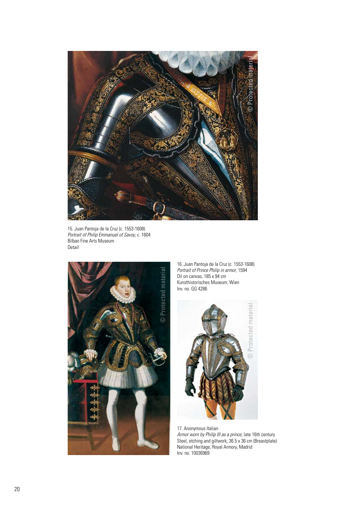

15. Juan Pantoja de la Cruz (c. 1553-1608) *Portrait of Philip Emmanuel of Savoy*, c. 1604 Bilbao Fine Arts Museum Detail



16. Juan Pantoja de la Cruz (c. 1553-1608) *Portrait of Prince Philip in armor*, 1594 Oil on canvas, 185 x 94 cm Kunsthistorisches Museum, Wien Inv. no. GG 4286



17. Anonymous Italian *Armor worn by Philip III as a prince,* late 16th century Steel, etching and giltwork, 36.5 x 36 cm (Breastplate) National Heritage, Royal Armory, Madrid Inv. no. 10036969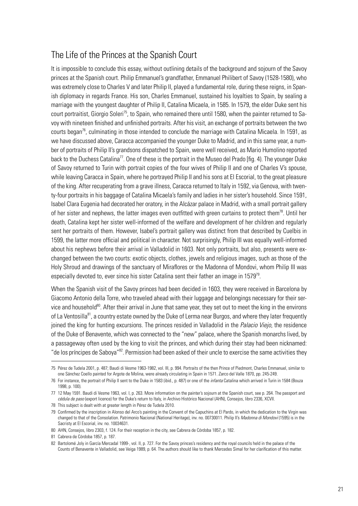# The Life of the Princes at the Spanish Court

It is impossible to conclude this essay, without outlining details of the background and sojourn of the Savoy princes at the Spanish court. Philip Emmanuel's grandfather, Emmanuel Philibert of Savoy (1528-1580), who was extremely close to Charles V and later Philip II, played a fundamental role, during these reigns, in Spanish diplomacy in regards France. His son, Charles Emmanuel, sustained his loyalties to Spain, by sealing a marriage with the youngest daughter of Philip II, Catalina Micaela, in 1585. In 1579, the elder Duke sent his court portraitist, Giorgio Soleri<sup>75</sup>, to Spain, who remained there until 1580, when the painter returned to Savoy with nineteen finished and unfinished portraits. After his visit, an exchange of portraits between the two courts began<sup>76</sup>, culminating in those intended to conclude the marriage with Catalina Micaela. In 1591, as we have discussed above, Caracca accompanied the younger Duke to Madrid, and in this same year, a number of portraits of Philip II's grandsons dispatched to Spain, were well received, as Mario Humolino reported back to the Duchess Catalina<sup>77</sup>. One of these is the portrait in the Museo del Prado [fig. 4). The younger Duke of Savoy returned to Turin with portrait copies of the four wives of Philip II and one of Charles V's spouse, while leaving Caracca in Spain, where he portrayed Philip II and his sons at El Escorial, to the great pleasure of the king. After recuperating from a grave illness, Caracca returned to Italy in 1592, via Genova, with twenty-four portraits in his baggage of Catalina Micaela's family and ladies in her sister's household. Since 1591, Isabel Clara Eugenia had decorated her oratory, in the Alcázar palace in Madrid, with a small portrait gallery of her sister and nephews, the latter images even outfitted with green curtains to protect them<sup>78</sup>. Until her death, Catalina kept her sister well-informed of the welfare and development of her children and regularly sent her portraits of them. However, Isabel's portrait gallery was distinct from that described by Cuelbis in 1599, the latter more official and political in character. Not surprisingly, Philip III was equally well-informed about his nephews before their arrival in Valladolid in 1603. Not only portraits, but also, presents were exchanged between the two courts: exotic objects, clothes, jewels and religious images, such as those of the Holy Shroud and drawings of the sanctuary of Miraflores or the Madonna of Mondovi, whom Philip III was especially devoted to, ever since his sister Catalina sent their father an image in  $1579^{79}$ .

When the Spanish visit of the Savoy princes had been decided in 1603, they were received in Barcelona by Giacomo Antonio della Torre, who traveled ahead with their luggage and belongings necessary for their service and household<sup>80</sup>. After their arrival in June that same year, they set out to meet the king in the environs of La Ventosilla<sup>81</sup>, a country estate owned by the Duke of Lerma near Burgos, and where they later frequently joined the king for hunting excursions. The princes resided in Valladolid in the *Palacio Viejo*, the residence of the Duke of Benavente, which was connected to the "new" palace, where the Spanish monarchs lived, by a passageway often used by the king to visit the princes, and which during their stay had been nicknamed: "de los príncipes de Saboya"<sup>82</sup>. Permission had been asked of their uncle to exercise the same activities they

<sup>75</sup> Pérez de Tudela 2001, p. 487; Baudi di Vesme 1963-1982, vol. III, p. 994. Portraits of the then Prince of Piedmont, Charles Emmanuel, similar to one Sánchez Coello painted for Argote de Molina, were already circulating in Spain in 1571. Zarco del Valle 1870, pp. 245-249.

<sup>76</sup> For instance, the portrait of Philip II sent to the Duke in 1583 (ibid., p. 487) or one of the *infanta* Catalina which arrived in Turin in 1584 (Bouza 1998, p. 100).

<sup>77</sup> 12 May 1591. Baudi di Vesme 1963, vol. I, p. 263. More information on the painter's sojourn at the Spanish court, see p. 264. The passport and *cédula de paso* (export licence) for the Duke's return to Italy, in Archivo Histórico Nacional (AHN), Consejos, libro 2336, XCVII.

<sup>78</sup> This subject is dealt with at greater length in Pérez de Tudela 2010.

<sup>79</sup> Confirmed by the inscription in Alonso del Arco's painting in the Convent of the Capuchins at El Pardo, in which the dedication to the Virgin was changed to that of the Consolation. Patrimonio Nacional (National Heritage), inv. no. 00730011. Philip II's *Madonna di Mondovi* (1595) is in the Sacristy at El Escorial, inv. no. 10034631.

<sup>80</sup> AHN, Consejos, libro 2303, f. 124. For their reception in the city, see Cabrera de Córdoba 1857, p. 182.

<sup>81</sup> Cabrera de Córdoba 1857, p. 187.

<sup>82</sup> Bartolomé Joly in García Mercadal 1999-, vol. II, p. 727. For the Savoy princes's residency and the royal councils held in the palace of the Counts of Benavente in Valladolid, see Veiga 1989, p. 64. The authors should like to thank Mercedes Simal for her clarification of this matter.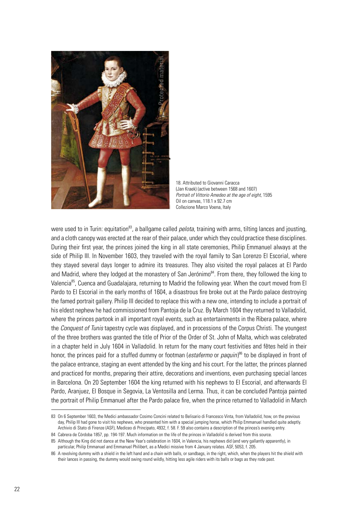

18. Attributed to Giovanni Caracca (Jan Kraek) (active between 1568 and 1607) *Portrait of Vittorio Amedeo at the age of eight*, 1595 Oil on canvas, 118.1 x 92.7 cm Collezione Marco Voena, Italy

were used to in Turin: equitation<sup>83</sup>, a ballgame called *pelota*, training with arms, tilting lances and jousting, and a cloth canopy was erected at the rear of their palace, under which they could practice these disciplines. During their first year, the princes joined the king in all state ceremonies, Philip Emmanuel always at the side of Philip III. In November 1603, they traveled with the royal family to San Lorenzo El Escorial, where they stayed several days longer to admire its treasures. They also visited the royal palaces at El Pardo and Madrid, where they lodged at the monastery of San Jerónimo<sup>84</sup>. From there, they followed the king to Valencia<sup>85</sup>, Cuenca and Guadalajara, returning to Madrid the following year. When the court moved from El Pardo to El Escorial in the early months of 1604, a disastrous fire broke out at the Pardo palace destroying the famed portrait gallery. Philip III decided to replace this with a new one, intending to include a portrait of his eldest nephew he had commissioned from Pantoja de la Cruz. By March 1604 they returned to Valladolid, where the princes partook in all important royal events, such as entertainments in the Ribera palace, where the *Conquest of Tunis* tapestry cycle was displayed, and in processions of the Corpus Christi. The youngest of the three brothers was granted the title of Prior of the Order of St. John of Malta, which was celebrated in a chapter held in July 1604 in Valladolid. In return for the many court festivities and fêtes held in their honor, the princes paid for a stuffed dummy or footman (*estafermo* or *paquin*) 86 to be displayed in front of the palace entrance, staging an event attended by the king and his court. For the latter, the princes planned and practiced for months, preparing their attire, decorations and inventions, even purchasing special lances in Barcelona. On 20 September 1604 the king returned with his nephews to El Escorial, and afterwards El Pardo, Aranjuez, El Bosque in Segovia, La Ventosilla and Lerma. Thus, it can be concluded Pantoja painted the portrait of Philip Emmanuel after the Pardo palace fire, when the prince returned to Valladolid in March

<sup>83</sup> On 6 September 1603, the Medici ambassador Cosimo Concini related to Belisario di Francesco Vinta, from Valladolid, how, on the previous day, Philip III had gone to visit his nephews, who presented him with a special jumping horse, which Philip Emmanuel handled quite adeptly. Archivio di Stato di Firenze (ASF), Mediceo di Principato, 4932, f. 58. F. 59 also contains a description of the princes's evening entry.

<sup>84</sup> Cabrera de Córdoba 1857, pp. 194-197. Much information on the life of the princes in Valladolid is derived from this source.

<sup>85</sup> Although the King did not dance at the New Year's celebration in 1604, in Valencia, his nephews did (and very gallantly apparently), in particular, Philip Emmanuel and Emmanuel Philibert, as a Medici missive from 4 January relates. ASF, 5053, f. 205.

<sup>86</sup> A revolving dummy with a shield in the left hand and a chain with balls, or sandbags, in the right, which, when the players hit the shield with their lances in passing, the dummy would swing round wildly, hitting less agile riders with its balls or bags as they rode past.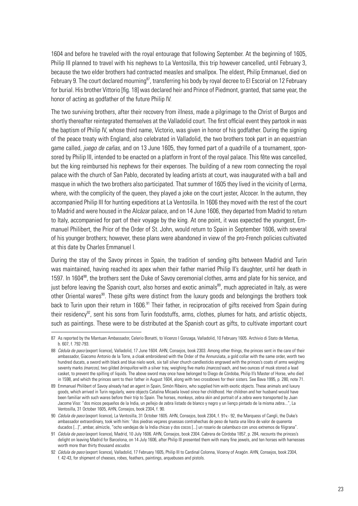1604 and before he traveled with the royal entourage that following September. At the beginning of 1605, Philip III planned to travel with his nephews to La Ventosilla, this trip however cancelled, until February 3, because the two elder brothers had contracted measles and smallpox. The eldest, Philip Emmanuel, died on February 9. The court declared mourning<sup>87</sup>, transferring his body by royal decree to El Escorial on 12 February for burial. His brother Vittorio [fig. 18] was declared heir and Prince of Piedmont, granted, that same year, the honor of acting as godfather of the future Philip IV.

The two surviving brothers, after their recovery from illness, made a pilgrimage to the Christ of Burgos and shortly thereafter reintegrated themselves at the Valladolid court. The first official event they partook in was the baptism of Philip IV, whose third name, Victorio, was given in honor of his godfather. During the signing of the peace treaty with England, also celebrated in Valladolid, the two brothers took part in an equestrian game called, *juego de cañas*, and on 13 June 1605, they formed part of a quadrille of a tournament, sponsored by Philip III, intended to be enacted on a platform in front of the royal palace. This fête was cancelled, but the king reimbursed his nephews for their expenses. The building of a new room connecting the royal palace with the church of San Pablo, decorated by leading artists at court, was inaugurated with a ball and masque in which the two brothers also participated. That summer of 1605 they lived in the vicinity of Lerma, where, with the complicity of the queen, they played a joke on the court jester, Alcocer. In the autumn, they accompanied Philip III for hunting expeditions at La Ventosilla. In 1606 they moved with the rest of the court to Madrid and were housed in the Alcázar palace, and on 14 June 1606, they departed from Madrid to return to Italy, accompanied for part of their voyage by the king. At one point, it was expected the youngest, Emmanuel Philibert, the Prior of the Order of St. John, would return to Spain in September 1606, with several of his younger brothers; however, these plans were abandoned in view of the pro-French policies cultivated at this date by Charles Emmanuel I.

During the stay of the Savoy princes in Spain, the tradition of sending gifts between Madrid and Turin was maintained, having reached its apex when their father married Philip II's daughter, until her death in 1597. In 1604<sup>88</sup>, the brothers sent the Duke of Savoy ceremonial clothes, arms and plate for his service, and just before leaving the Spanish court, also horses and exotic animals<sup>89</sup>, much appreciated in Italy, as were other Oriental wares<sup>90</sup>. These gifts were distinct from the luxury goods and belongings the brothers took back to Turin upon their return in 1606.<sup>91</sup> Their father, in reciprocation of gifts received from Spain during their residency<sup>92</sup>, sent his sons from Turin foodstuffs, arms, clothes, plumes for hats, and artistic objects, such as paintings. These were to be distributed at the Spanish court as gifts, to cultivate important court

<sup>87</sup> As reported by the Mantuan Ambassador, Celerio Bonatti, to Vicenzo I Gonzaga, Valladolid, 10 February 1605. Archivio di Stato de Mantua, b. 607, f. 792-793.

<sup>88</sup> *Cédula de paso* (export licence), Valladolid, 17 June 1604. AHN, Consejos, book 2303. Among other things, the princes sent in the care of their ambassador, Giacomo Antonio de la Torre, a cloak embroidered with the Order of the Annunziata, a gold collar with the same order, worth two hundred ducats, a sword with black and blue nielo work, six tall silver church candlesticks engraved with the princes's coats of arms weighing seventy marks *(marcos),* two gilded *brinquiños* with a silver tray, weighing five marks *(marcos)* each, and two ounces of musk stored a lead casket, to prevent the spilling of liquids. The above sword may once have belonged to Diego de Córdoba, Philip II's Master of Horse, who died in 1598, and which the princes sent to their father in August 1604, along with two crossbows for their sisters. See Bava 1995, p. 280, note 71.

<sup>89</sup> Emmanuel Philibert of Savoy already had an agent in Spain, Simón Ribeiro, who supplied him with exotic objects. These animals and luxury goods, which arrived in Turin regularly, were objects Catalina Micaela loved since her childhood. Her children and her husband would have been familiar with such wares before their trip to Spain. The horses, monkeys, zebra skin and portrait of a zebra were transported by Juan Jacome Viso: "dos micos pequeños de la India, un pellejo de zebra listado de blanco y negro y un lienço pintado de la misma zebra...", La Ventosilla, 31 October 1605, AHN, Consejos, book 2304, f. 90.

<sup>90</sup> *Cédula de paso* (export licence), La Ventosilla, 31 October 1605. AHN, Consejos, book 2304, f. 91v.- 92, the Marquess of Cangli, the Duke's ambassador extraordinary, took with him: "dos piedras veçares gruessas contrahechas de peso de hasta una libra de valor de quarenta ducados [...]", ambar, almizcle, "ocho vandejas de la India chicas y dos cocos [...] un rosario de calambuco con unos extremos de filigrana".

<sup>91</sup> *Cédula de paso* (export licence), Madrid, 10 July 1606. AHN, Consejos, book 2304. Cabrera de Córdoba 1857, p. 284, recounts the princes's delight on leaving Madrid for Barcelona, on 14 July 1606, after Philip III presented them with many fine jewels, and ten horses with harnesses worth more than thirty thousand *escudos*.

<sup>92</sup> *Cédula de paso* (export licence), Valladolid, 17 February 1605, Philip III to Cardinal Colonna, Viceroy of Aragón. AHN, Consejos, book 2304, f. 42-43, for shipment of cheeses, robes, feathers, paintings, arquebuses and pistols.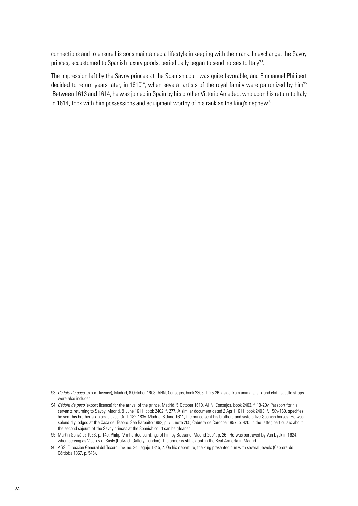connections and to ensure his sons maintained a lifestyle in keeping with their rank. In exchange, the Savoy princes, accustomed to Spanish luxury goods, periodically began to send horses to Italy<sup>93</sup>.

The impression left by the Savoy princes at the Spanish court was quite favorable, and Emmanuel Philibert decided to return years later, in 1610 $^{94}$ , when several artists of the royal family were patronized by him $^{95}$ .Between 1613 and 1614, he was joined in Spain by his brother Vittorio Amedeo, who upon his return to Italy in 1614, took with him possessions and equipment worthy of his rank as the king's nephew<sup>96</sup>.

<sup>93</sup> *Cédula de paso* (export licence), Madrid, 8 October 1608. AHN, Consejos, book 2305, f. 25-26. aside from animals, silk and cloth saddle straps were also included.

<sup>94</sup> *Cédula de paso* (export licence) for the arrival of the prince, Madrid, 5 October 1610. AHN, Consejos, book 2403, f. 19-20v. Passport for his servants returning to Savoy, Madrid, 9 June 1611, book 2402, f. 277. A similar document dated 2 April 1611, book 2403, f. 158v-160, specifies he sent his brother six black slaves. On f. 182-183v, Madrid, 8 June 1611, the prince sent his brothers and sisters five Spanish horses. He was splendidly lodged at the Casa del Tesoro. See Barbeito 1992, p. 71, note 205; Cabrera de Córdoba 1857, p. 420. In the latter, particulars about the second sojourn of the Savoy princes at the Spanish court can be gleaned.

<sup>95</sup> Martín González 1958, p. 140. Philip IV inherited paintings of him by Bassano (Madrid 2001, p. 26). He was portrayed by Van Dyck in 1624, when serving as Viceroy of Sicily (Dulwich Gallery, London). The armor is still extant in the Real Armería in Madrid.

<sup>96</sup> AGS, Dirección General del Tesoro, inv. no. 24, legajo 1345, 7. On his departure, the king presented him with several jewels (Cabrera de Córdoba 1857, p. 546).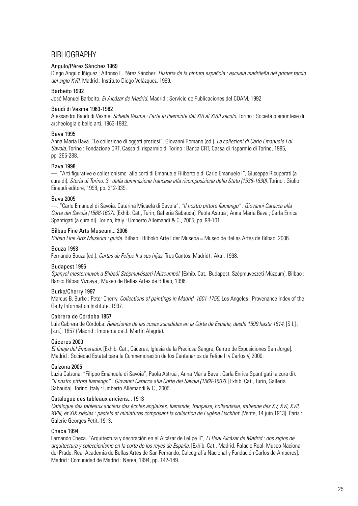# BIBLIOGRAPHY

# Angulo/Pérez Sánchez 1969

Diego Angulo Iñiguez ; Alfonso E. Pérez Sánchez. *Historia de la pintura española : escuela madrileña del primer tercio del siglo XVII*. Madrid : Instituto Diego Velázquez, 1969.

# Barbeito 1992

José Manuel Barbeito. *El Alcázar de Madrid*. Madrid : Servicio de Publicaciones del COAM, 1992.

# Baudi di Vesme 1963-1982

Alessandro Baudi di Vesme. *Schede Vesme : l'arte in Piemonte dal XVI al XVIII secolo*. Torino : Società piemontese di archeologia e belle arti, 1963-1982.

# Bava 1995

Anna Maria Bava. "Le collezione di oggeti preziosi", Giovanni Romano (ed.). *Le collezioni di Carlo Emanuele I di Savoia.* Torino : Fondazione CRT, Cassa di risparmio di Torino : Banca CRT, Cassa di risparmio di Torino, 1995, pp. 265-288.

# Bava 1998

—. "Arti figurative e collezionismo alle corti di Emanuele Filiberto e di Carlo Emanuele I", Giuseppe Ricuperati (a cura di). *Storia di Torino. 3 : dalla dominazione francese alla ricomposizione dello Stato (1536-1630)*. Torino : Giulio Einaudi editore, 1998, pp. 312-339.

# Bava 2005

—. "Carlo Emanuel di Savoia. Caterina Micaela di Savoia", *"Il nostro pittore fiamengo" : Giovanni Caracca alla Corte dei Savoia (1568-1607).* [Exhib. Cat., Turin, Galleria Sabauda]. Paola Astrua ; Anna Maria Bava ; Carla Enrica Spantigati (a cura di). Torino, Italy : Umberto Allemandi & C., 2005, pp. 98-101.

# Bilbao Fine Arts Museum... 2006

*Bilbao Fine Arts Museum : guide.* Bilbao : Bilboko Arte Eder Museoa = Museo de Bellas Artes de Bilbao, 2006.

# Bouza 1998

Fernando Bouza (ed.). *Cartas de Felipe II a sus hijas*. Tres Cantos (Madrid) : Akal, 1998.

# Budapest 1996

*Spanyol mestermuvek a Bilbaói Szépmuvészeti Múzeumból*. [Exhib. Cat., Budapest, Szépmuveszeti Múzeum]. Bilbao : Banco Bilbao Vizcaya ; Museo de Bellas Artes de Bilbao, 1996.

# Burke/Cherry 1997

Marcus B. Burke ; Peter Cherry. *Collections of paintings in Madrid, 1601-1755*. Los Angeles : Provenance Index of the Getty Information Institute, 1997.

# Cabrera de Córdoba 1857

Luis Cabrera de Córdoba. *Relaciones de las cosas sucedidas en la Córte de España, desde 1599 hasta 1614*. [S.l.] : [s.n.], 1857 (Madrid : Imprenta de J. Martín Alegría).

# Cáceres 2000

*El linaje del Emperador.* [Exhib. Cat., Cáceres, Iglesia de la Preciosa Sangre, Centro de Exposiciones San Jorge]. Madrid : Sociedad Estatal para la Conmemoración de los Centenarios de Felipe II y Carlos V, 2000.

# Calzona 2005

Luzia Calzona. "Filippo Emanuele di Savoia", Paola Astrua ; Anna Maria Bava ; Carla Enrica Spantigati (a cura di). *"Il nostro pittore fiamengo" : Giovanni Caracca alla Corte dei Savoia (1568-1607)*. [Exhib. Cat., Turin, Galleria Sabauda]. Torino, Italy : Umberto Allemandi & C., 2005.

# Catalogue des tableaux anciens... 1913

*Catalogue des tableaux anciens des écoles anglaises, flamande, française, hollandaise, italienne des XV, XVI, XVII, XVIII, et XIX siécles : pastels et miniatures composant la collection de Eugène Fischhof*. [Vente, 14 juin 1913]. Paris : Galerie Georges Petit, 1913.

# Checa 1994

Fernando Checa. "Arquitectura y decoración en el Alcázar de Felipe II", *El Real Alcázar de Madrid : dos siglos de arquitectura y coleccionismo en la corte de los reyes de España*. [Exhib. Cat., Madrid, Palacio Real, Museo Nacional del Prado, Real Academia de Bellas Artes de San Fernando, Calcografía Nacional y Fundación Carlos de Amberes]. Madrid : Comunidad de Madrid : Nerea, 1994, pp. 142-149.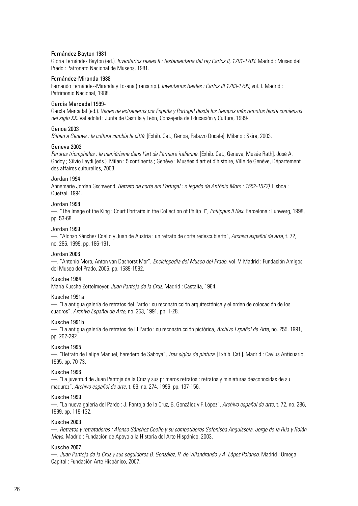# Fernández Bayton 1981

Gloria Fernández Bayton (ed.). *Inventarios reales II : testamentaria del rey Carlos II, 1701-1703*. Madrid : Museo del Prado : Patronato Nacional de Museos, 1981.

#### Fernández-Miranda 1988

Fernando Fernández-Miranda y Lozana (transcrip.). *Inventarios Reales : Carlos III 1789-1790*, vol. I. Madrid : Patrimonio Nacional, 1988.

# García Mercadal 1999-

García Mercadal (ed.). *Viajes de extranjeros por España y Portugal desde los tiempos más remotos hasta comienzos del siglo XX*. Valladolid : Junta de Castilla y León, Consejería de Educación y Cultura, 1999-.

#### Genoa 2003

*Bilbao a Genova : la cultura cambia le città*. [Exhib. Cat., Genoa, Palazzo Ducale]. Milano : Skira, 2003.

#### Geneva 2003

*Parures triomphales : le maniérisme dans l'art de l'armure italienne*. [Exhib. Cat., Geneva, Musée Rath]. José A. Godoy ; Silvio Leydi (eds.). Milan : 5 continents ; Genève : Musées d'art et d'histoire, Ville de Genève, Département des affaires culturelles, 2003.

#### Jordan 1994

Annemarie Jordan Gschwend. *Retrato de corte em Portugal : o legado de António Moro : 1552-1572)*. Lisboa : Quetzal, 1994.

#### Jordan 1998

—. "The Image of the King : Court Portraits in the Collection of Philip II", *Philippus II Rex*. Barcelona : Lunwerg, 1998, pp. 53-68.

#### Jordan 1999

—. "Alonso Sánchez Coello y Juan de Austria : un retrato de corte redescubierto", *Archivo español de arte*, t. 72, no. 286, 1999, pp. 186-191.

#### Jordan 2006

—. "Antonio Moro, Anton van Dashorst Mor", *Enciclopedia del Museo del Prado*, vol. V. Madrid : Fundación Amigos del Museo del Prado, 2006, pp. 1589-1592.

# Kusche 1964

María Kusche Zettelmeyer. *Juan Pantoja de la Cruz*. Madrid : Castalia, 1964.

#### Kusche 1991a

—. "La antigua galería de retratos del Pardo : su reconstrucción arquitectónica y el orden de colocación de los cuadros", *Archivo Español de Arte*, no. 253, 1991, pp. 1-28.

#### Kusche 1991b

—. "La antigua galería de retratos de El Pardo : su reconstrucción pictórica, *Archivo Español de Arte*, no. 255, 1991, pp. 262-292.

# Kusche 1995

—. "Retrato de Felipe Manuel, heredero de Saboya", *Tres siglos de pintura*. [Exhib. Cat.]. Madrid : Caylus Anticuario, 1995, pp. 70-73.

#### Kusche 1996

—. "La juventud de Juan Pantoja de la Cruz y sus primeros retratos : retratos y miniaturas desconocidas de su madurez", *Archivo español de arte*, t. 69, no. 274, 1996, pp. 137-156.

#### Kusche 1999

—. "La nueva galería del Pardo : J. Pantoja de la Cruz, B. González y F. López", *Archivo español de arte*, t. 72, no. 286, 1999, pp. 119-132.

#### Kusche 2003

—. *Retratos y retratadores : Alonso Sánchez Coello y su competidores Sofonisba Anguissola, Jorge de la Rúa y Rolán Moys*. Madrid : Fundación de Apoyo a la Historia del Arte Hispánico, 2003.

#### Kusche 2007

—. *Juan Pantoja de la Cruz y sus seguidores B. González, R. de Villandrando y A. López Polanco*. Madrid : Omega Capital : Fundación Arte Hispánico, 2007.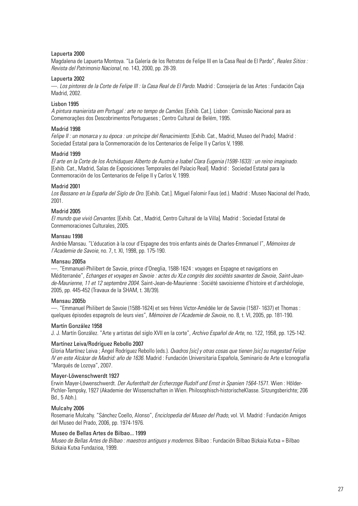# Lapuerta 2000

Magdalena de Lapuerta Montoya. "La Galería de los Retratos de Felipe III en la Casa Real de El Pardo", *Reales Sitios : Revista del Patrimonio Nacional*, no. 143, 2000, pp. 28-39.

# Lapuerta 2002

—. *Los pintores de la Corte de Felipe III : la Casa Real de El Pardo*. Madrid : Consejería de las Artes : Fundación Caja Madrid, 2002.

# Lisbon 1995

*A pintura manierista em Portugal : arte no tempo de Camões*. [Exhib. Cat.]. Lisbon : Comissão Nacional para as Comemorações dos Descobrimentos Portugueses ; Centro Cultural de Belém, 1995.

# Madrid 1998

*Felipe II : un monarca y su época : un príncipe del Renacimiento*. [Exhib. Cat., Madrid, Museo del Prado]. Madrid : Sociedad Estatal para la Conmemoración de los Centenarios de Felipe II y Carlos V, 1998.

# Madrid 1999

*El arte en la Corte de los Archiduques Alberto de Austria e Isabel Clara Eugenia (1598-1633) : un reino imaginado*. [Exhib. Cat., Madrid, Salas de Exposiciones Temporales del Palacio Real]. Madrid : Sociedad Estatal para la Conmemoración de los Centenarios de Felipe II y Carlos V, 1999.

# Madrid 2001

*Los Bassano en la España del Siglo de Oro*. [Exhib. Cat.]. Miguel Falomir Faus (ed.). Madrid : Museo Nacional del Prado, 2001.

# Madrid 2005

*El mundo que vivió Cervantes*. [Exhib. Cat., Madrid, Centro Cultural de la Villa]. Madrid : Sociedad Estatal de Conmemoraciones Culturales, 2005.

# Mansau 1998

Andrée Mansau. "L'éducation à la cour d'Espagne des trois enfants ainés de Charles-Emmanuel I", *Mémoires de l'Academie de Savoie*, no. 7, t. XI, 1998, pp. 175-190.

# Mansau 2005a

—. "Emmanuel-Philibert de Savoie, prince d'Oneglia, 1588-1624 : voyages en Espagne et navigations en Méditerranée", *Echanges et voyages en Savoie : actes du XLe congrès des sociétés savantes de Savoie*, *Saint-Jeande-Maurienne, 11 et 12 septembre 2004*. Saint-Jean-de-Maurienne : Société savoisienne d'histoire et d'archéologie, 2005, pp. 445-452 (Travaux de la SHAM, t. 38/39).

# Mansau 2005b

—. "Emmanuel Philibert de Savoie (1588-1624) et ses frères Victor-Amédée Ier de Savoie (1587- 1637) et Thomas : quelques épisodes espagnols de leurs vies", *Mémoires de l'Academie de Savoie*, no. 8, t. VI, 2005, pp. 181-190.

# Martín González 1958

J. J. Martín González. "Arte y artistas del siglo XVII en la corte", *Archivo Español de Arte*, no. 122, 1958, pp. 125-142.

# Martínez Leiva/Rodríguez Rebollo 2007

Gloria Martínez Leiva ; Ángel Rodríguez Rebollo (eds.). *Qvadros [sic] y otras cosas que tienen [sic] su magestad Felipe IV en este Alcázar de Madrid: año de 1636.* Madrid : Fundación Universitaria Española, Seminario de Arte e Iconografía "Marqués de Lozoya", 2007.

# Mayer-Löwenschwerdt 1927

Erwin Mayer-Löwenschwerdt. *Der Aufenthalt der Erzherzoge Rudolf und Ernst in Spanien 1564-1571*. Wien : Hölder-Pichler-Tempsky, 1927 (Akademie der Wissenschaften in Wien. Philosophisch-historischeKlasse. Sitzungsberichte; 206 Bd., 5 Abh.).

# Mulcahy 2006

Rosemarie Mulcahy. "Sánchez Coello, Alonso", *Enciclopedia del Museo del Prado*, vol. VI. Madrid : Fundación Amigos del Museo del Prado, 2006, pp. 1974-1976.

# Museo de Bellas Artes de Bilbao... 1999

*Museo de Bellas Artes de Bilbao : maestros antiguos y modernos*. Bilbao : Fundación Bilbao Bizkaia Kutxa = Bilbao Bizkaia Kutxa Fundazioa, 1999.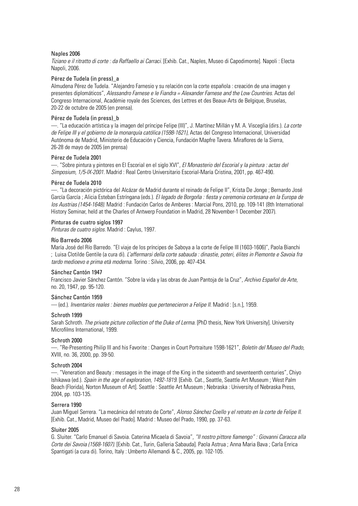# Naples 2006

*Tiziano e il ritratto di corte : da Raffaello ai Carraci.* [Exhib. Cat., Naples, Museo di Capodimonte]. Napoli : Electa Napoli, 2006.

# Pérez de Tudela (in press)\_a

Almudena Pérez de Tudela. "Alejandro Farnesio y su relación con la corte española : creación de una imagen y presentes diplomáticos", *Alessandro Farnese e le Fiandra = Alexander Farnese and the Low Countries*. Actas del Congreso Internacional, Académie royale des Sciences, des Lettres et des Beaux-Arts de Belgique, Bruselas, 20-22 de octubre de 2005 (en prensa).

#### Pérez de Tudela (in press)\_b

—. "La educación artística y la imagen del príncipe Felipe (III)", J. Martínez Millán y M. A. Visceglia (dirs.). *La corte de Felipe III y el gobierno de la monarquía católica (1598-1621)*, Actas del Congreso Internacional, Universidad Autónoma de Madrid, Ministerio de Educación y Ciencia, Fundación Mapfre Tavera. Miraflores de la Sierra, 26-28 de mayo de 2005 (en prensa)

#### Pérez de Tudela 2001

—. "Sobre pintura y pintores en El Escorial en el siglo XVI", *El Monasterio del Escorial y la pintura : actas del Simposium, 1/5-IX-2001*. Madrid : [Real Centro Universitario Escorial-María Cristina,](http://dialnet.unirioja.es/servlet/editor?codigo=3206) 2001, pp. 467-490.

#### Pérez de Tudela 2010

—. "La decoración pictórica del Alcázar de Madrid durante el reinado de Felipe II", Krista De Jonge ; Bernardo José García García ; Alicia Esteban Estríngana (eds.). *El legado de Borgoña : fiesta y ceremonia cortesana en la Europa de los Austrias (1454-1648)*. Madrid : Fundación Carlos de Amberes : Marcial Pons, 2010, pp. 109-141 (8th International History Seminar, held at the Charles of Antwerp Foundation in Madrid, 28 November-1 December 2007).

#### Pinturas de cuatro siglos 1997

*Pinturas de cuatro siglos.* Madrid : Caylus, 1997.

#### Río Barredo 2006

María José del Río Barredo. "El viaje de los príncipes de Saboya a la corte de Felipe III (1603-1606)", Paola Bianchi ; Luisa Clotilde Gentile (a cura di). *L'affermarsi della corte sabauda : dinastie, poteri, élites in Piemonte e Savoia fra tardo medioevo e prima età moderna*. Torino : Silvio, 2006, pp. 407-434.

#### Sánchez Cantón 1947

Francisco Javier Sánchez Cantón. "Sobre la vida y las obras de Juan Pantoja de la Cruz", *Archivo Español de Arte*, no. 20, 1947, pp. 95-120.

# Sánchez Cantón 1959

— (ed*.*). *Inventarios reales : bienes muebles que pertenecieron a Felipe II*. Madrid : [s.n.], 1959.

# Schroth 1999

Sarah Schroth. *The private picture collection of the Duke of Lerma*. [PhD thesis, New York University]. University Microfilms International, 1999.

#### Schroth 2000

—. "Re-Presenting Philip III and his Favorite : Changes in Court Portraiture 1598-1621", *Boletín del Museo del Prado*, XVIII, no. 36, 2000, pp. 39-50.

#### Schroth 2004

—. "Veneration and Beauty : messages in the image of the King in the sixteenth and seventeenth centuries", Chiyo Ishikawa (ed.). *Spain in the age of exploration, 1492-1819*. [Exhib. Cat., Seattle, Seattle Art Museum ; West Palm Beach (Florida), Norton Museum of Art]. Seattle : Seattle Art Museum ; Nebraska : University of Nebraska Press, 2004, pp. 103-135.

#### Serrera 1990

Juan Miguel Serrera. "La mecánica del retrato de Corte", *Alonso Sánchez Coello y el retrato en la corte de Felipe II*. [Exhib. Cat., Madrid, Museo del Prado]. Madrid : Museo del Prado, 1990, pp. 37-63.

#### Sluiter 2005

G. Sluiter. "Carlo Emanuel di Savoia. Caterina Micaela di Savoia", *"Il nostro pittore fiamengo" : Giovanni Caracca alla Corte dei Savoia (1568-1607)*. [Exhib. Cat., Turin, Galleria Sabauda]. Paola Astrua ; Anna Maria Bava ; Carla Enrica Spantigati (a cura di). Torino, Italy : Umberto Allemandi & C., 2005, pp. 102-105.